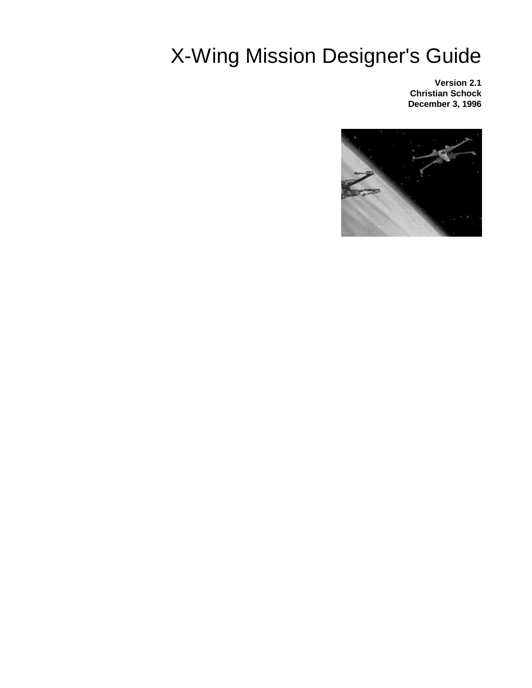# X-Wing Mission Designer's Guide

**Version 2.1 Christian Schock December 3, 1996**

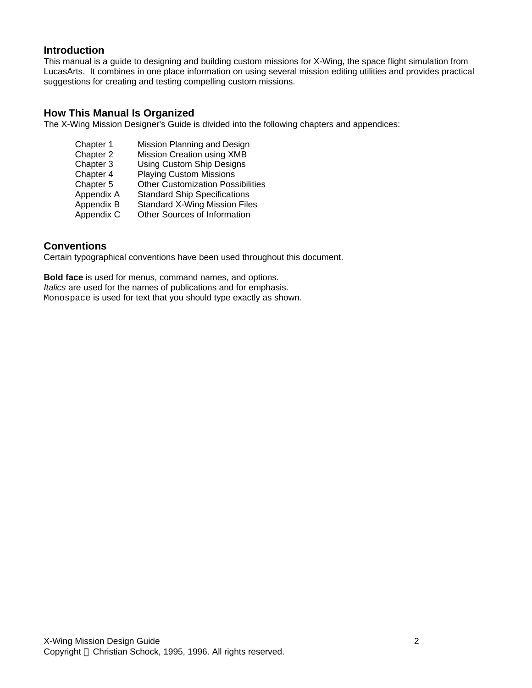### **Introduction**

This manual is a guide to designing and building custom missions for X-Wing, the space flight simulation from LucasArts. It combines in one place information on using several mission editing utilities and provides practical suggestions for creating and testing compelling custom missions.

### **How This Manual Is Organized**

The X-Wing Mission Designer's Guide is divided into the following chapters and appendices:

| Chapter 1  | Mission Planning and Design              |
|------------|------------------------------------------|
| Chapter 2  | Mission Creation using XMB               |
| Chapter 3  | Using Custom Ship Designs                |
| Chapter 4  | <b>Playing Custom Missions</b>           |
| Chapter 5  | <b>Other Customization Possibilities</b> |
| Appendix A | <b>Standard Ship Specifications</b>      |
| Appendix B | <b>Standard X-Wing Mission Files</b>     |
| Appendix C | Other Sources of Information             |
|            |                                          |

### **Conventions**

Certain typographical conventions have been used throughout this document.

**Bold face** is used for menus, command names, and options. *Italics* are used for the names of publications and for emphasis. Monospace is used for text that you should type exactly as shown.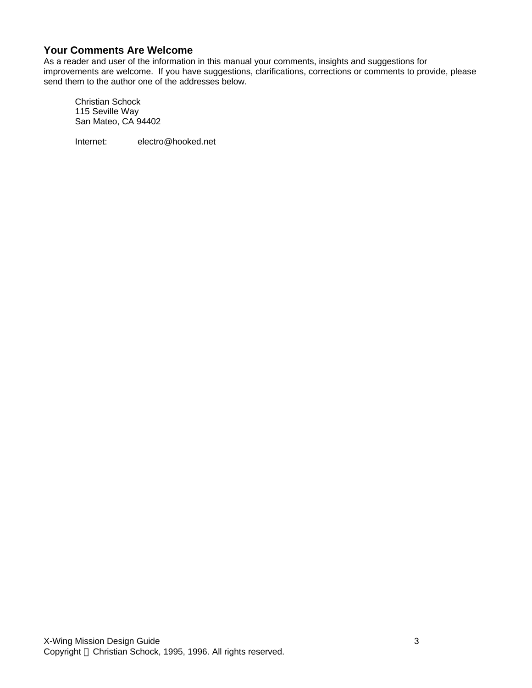# **Your Comments Are Welcome**

As a reader and user of the information in this manual your comments, insights and suggestions for improvements are welcome. If you have suggestions, clarifications, corrections or comments to provide, please send them to the author one of the addresses below.

Christian Schock 115 Seville Way San Mateo, CA 94402

Internet: electro@hooked.net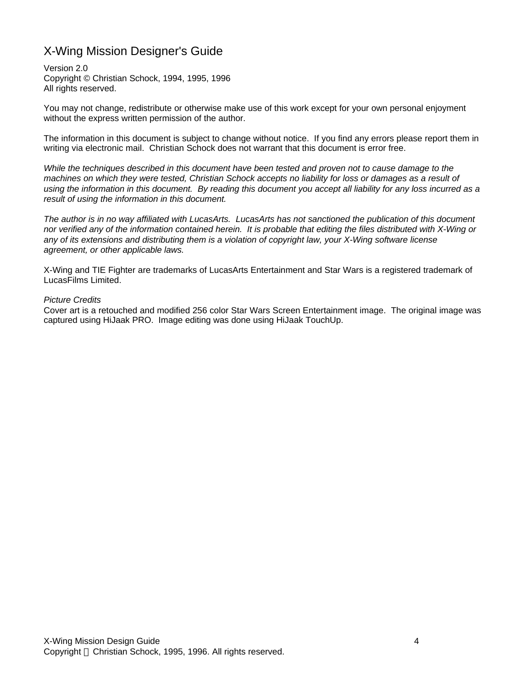# X-Wing Mission Designer's Guide

Version 2.0 Copyright © Christian Schock, 1994, 1995, 1996 All rights reserved.

You may not change, redistribute or otherwise make use of this work except for your own personal enjoyment without the express written permission of the author.

The information in this document is subject to change without notice. If you find any errors please report them in writing via electronic mail. Christian Schock does not warrant that this document is error free.

*While the techniques described in this document have been tested and proven not to cause damage to the machines on which they were tested, Christian Schock accepts no liability for loss or damages as a result of using the information in this document. By reading this document you accept all liability for any loss incurred as a result of using the information in this document.*

*The author is in no way affiliated with LucasArts. LucasArts has not sanctioned the publication of this document nor verified any of the information contained herein. It is probable that editing the files distributed with X-Wing or any of its extensions and distributing them is a violation of copyright law, your X-Wing software license agreement, or other applicable laws.*

X-Wing and TIE Fighter are trademarks of LucasArts Entertainment and Star Wars is a registered trademark of LucasFilms Limited.

#### *Picture Credits*

Cover art is a retouched and modified 256 color Star Wars Screen Entertainment image. The original image was captured using HiJaak PRO. Image editing was done using HiJaak TouchUp.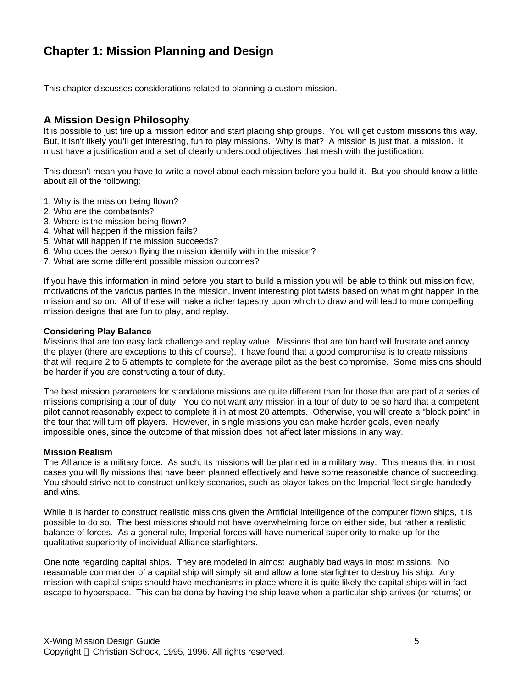# **Chapter 1: Mission Planning and Design**

This chapter discusses considerations related to planning a custom mission.

# **A Mission Design Philosophy**

It is possible to just fire up a mission editor and start placing ship groups. You will get custom missions this way. But, it isn't likely you'll get interesting, fun to play missions. Why is that? A mission is just that, a mission. It must have a justification and a set of clearly understood objectives that mesh with the justification.

This doesn't mean you have to write a novel about each mission before you build it. But you should know a little about all of the following:

- 1. Why is the mission being flown?
- 2. Who are the combatants?
- 3. Where is the mission being flown?
- 4. What will happen if the mission fails?
- 5. What will happen if the mission succeeds?
- 6. Who does the person flying the mission identify with in the mission?
- 7. What are some different possible mission outcomes?

If you have this information in mind before you start to build a mission you will be able to think out mission flow, motivations of the various parties in the mission, invent interesting plot twists based on what might happen in the mission and so on. All of these will make a richer tapestry upon which to draw and will lead to more compelling mission designs that are fun to play, and replay.

#### **Considering Play Balance**

Missions that are too easy lack challenge and replay value. Missions that are too hard will frustrate and annoy the player (there are exceptions to this of course). I have found that a good compromise is to create missions that will require 2 to 5 attempts to complete for the average pilot as the best compromise. Some missions should be harder if you are constructing a tour of duty.

The best mission parameters for standalone missions are quite different than for those that are part of a series of missions comprising a tour of duty. You do not want any mission in a tour of duty to be so hard that a competent pilot cannot reasonably expect to complete it in at most 20 attempts. Otherwise, you will create a "block point" in the tour that will turn off players. However, in single missions you can make harder goals, even nearly impossible ones, since the outcome of that mission does not affect later missions in any way.

#### **Mission Realism**

The Alliance is a military force. As such, its missions will be planned in a military way. This means that in most cases you will fly missions that have been planned effectively and have some reasonable chance of succeeding. You should strive not to construct unlikely scenarios, such as player takes on the Imperial fleet single handedly and wins.

While it is harder to construct realistic missions given the Artificial Intelligence of the computer flown ships, it is possible to do so. The best missions should not have overwhelming force on either side, but rather a realistic balance of forces. As a general rule, Imperial forces will have numerical superiority to make up for the qualitative superiority of individual Alliance starfighters.

One note regarding capital ships. They are modeled in almost laughably bad ways in most missions. No reasonable commander of a capital ship will simply sit and allow a lone starfighter to destroy his ship. Any mission with capital ships should have mechanisms in place where it is quite likely the capital ships will in fact escape to hyperspace. This can be done by having the ship leave when a particular ship arrives (or returns) or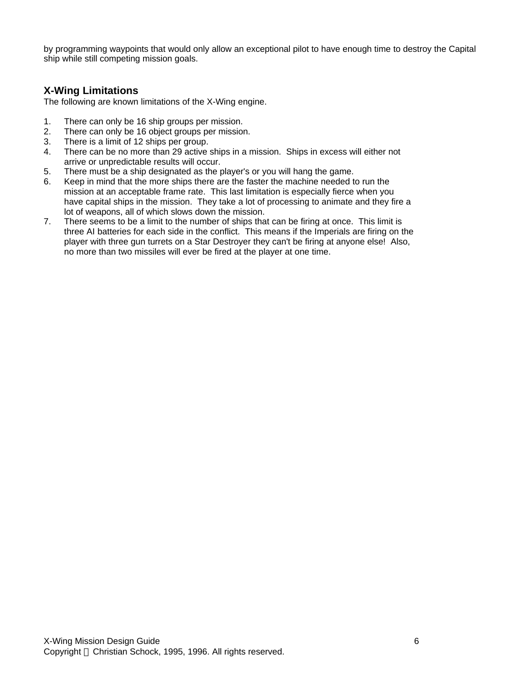by programming waypoints that would only allow an exceptional pilot to have enough time to destroy the Capital ship while still competing mission goals.

# **X-Wing Limitations**

The following are known limitations of the X-Wing engine.

- 1. There can only be 16 ship groups per mission.
- 2. There can only be 16 object groups per mission.
- 3. There is a limit of 12 ships per group.
- 4. There can be no more than 29 active ships in a mission. Ships in excess will either not arrive or unpredictable results will occur.
- 5. There must be a ship designated as the player's or you will hang the game.
- 6. Keep in mind that the more ships there are the faster the machine needed to run the mission at an acceptable frame rate. This last limitation is especially fierce when you have capital ships in the mission. They take a lot of processing to animate and they fire a lot of weapons, all of which slows down the mission.
- 7. There seems to be a limit to the number of ships that can be firing at once. This limit is three AI batteries for each side in the conflict. This means if the Imperials are firing on the player with three gun turrets on a Star Destroyer they can't be firing at anyone else! Also, no more than two missiles will ever be fired at the player at one time.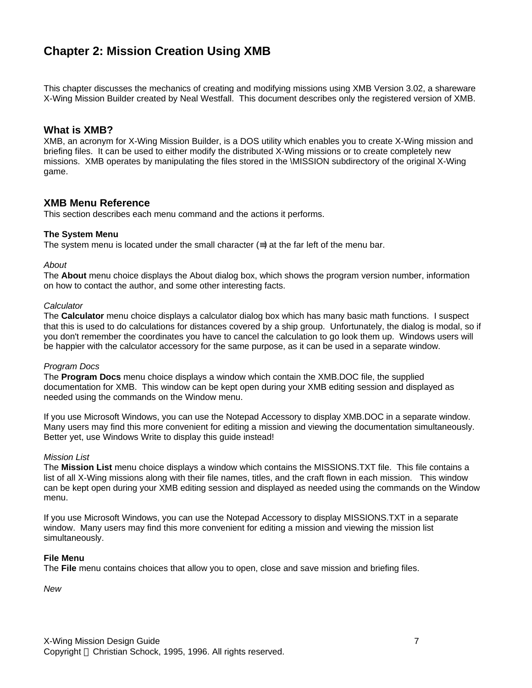# **Chapter 2: Mission Creation Using XMB**

This chapter discusses the mechanics of creating and modifying missions using XMB Version 3.02, a shareware X-Wing Mission Builder created by Neal Westfall. This document describes only the registered version of XMB.

### **What is XMB?**

XMB, an acronym for X-Wing Mission Builder, is a DOS utility which enables you to create X-Wing mission and briefing files. It can be used to either modify the distributed X-Wing missions or to create completely new missions. XMB operates by manipulating the files stored in the \MISSION subdirectory of the original X-Wing game.

### **XMB Menu Reference**

This section describes each menu command and the actions it performs.

#### **The System Menu**

The system menu is located under the small character  $(\equiv)$  at the far left of the menu bar.

#### *About*

The **About** menu choice displays the About dialog box, which shows the program version number, information on how to contact the author, and some other interesting facts.

#### *Calculator*

The **Calculator** menu choice displays a calculator dialog box which has many basic math functions. I suspect that this is used to do calculations for distances covered by a ship group. Unfortunately, the dialog is modal, so if you don't remember the coordinates you have to cancel the calculation to go look them up. Windows users will be happier with the calculator accessory for the same purpose, as it can be used in a separate window.

#### *Program Docs*

The **Program Docs** menu choice displays a window which contain the XMB.DOC file, the supplied documentation for XMB. This window can be kept open during your XMB editing session and displayed as needed using the commands on the Window menu.

If you use Microsoft Windows, you can use the Notepad Accessory to display XMB.DOC in a separate window. Many users may find this more convenient for editing a mission and viewing the documentation simultaneously. Better yet, use Windows Write to display this guide instead!

#### *Mission List*

The **Mission List** menu choice displays a window which contains the MISSIONS.TXT file. This file contains a list of all X-Wing missions along with their file names, titles, and the craft flown in each mission. This window can be kept open during your XMB editing session and displayed as needed using the commands on the Window menu.

If you use Microsoft Windows, you can use the Notepad Accessory to display MISSIONS.TXT in a separate window. Many users may find this more convenient for editing a mission and viewing the mission list simultaneously.

#### **File Menu**

The **File** menu contains choices that allow you to open, close and save mission and briefing files.

*New*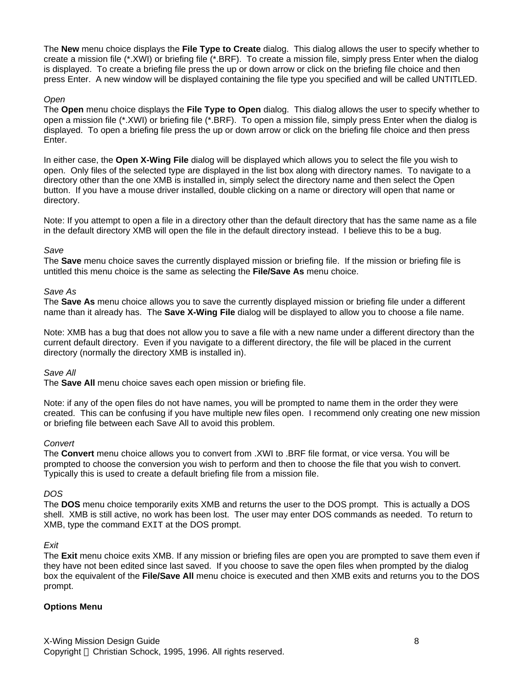The **New** menu choice displays the **File Type to Create** dialog. This dialog allows the user to specify whether to create a mission file (\*.XWI) or briefing file (\*.BRF). To create a mission file, simply press Enter when the dialog is displayed. To create a briefing file press the up or down arrow or click on the briefing file choice and then press Enter. A new window will be displayed containing the file type you specified and will be called UNTITLED.

#### *Open*

The **Open** menu choice displays the **File Type to Open** dialog. This dialog allows the user to specify whether to open a mission file (\*.XWI) or briefing file (\*.BRF). To open a mission file, simply press Enter when the dialog is displayed. To open a briefing file press the up or down arrow or click on the briefing file choice and then press Enter.

In either case, the **Open X-Wing File** dialog will be displayed which allows you to select the file you wish to open. Only files of the selected type are displayed in the list box along with directory names. To navigate to a directory other than the one XMB is installed in, simply select the directory name and then select the Open button. If you have a mouse driver installed, double clicking on a name or directory will open that name or directory.

Note: If you attempt to open a file in a directory other than the default directory that has the same name as a file in the default directory XMB will open the file in the default directory instead. I believe this to be a bug.

#### *Save*

The **Save** menu choice saves the currently displayed mission or briefing file. If the mission or briefing file is untitled this menu choice is the same as selecting the **File/Save As** menu choice.

#### *Save As*

The **Save As** menu choice allows you to save the currently displayed mission or briefing file under a different name than it already has. The **Save X-Wing File** dialog will be displayed to allow you to choose a file name.

Note: XMB has a bug that does not allow you to save a file with a new name under a different directory than the current default directory. Even if you navigate to a different directory, the file will be placed in the current directory (normally the directory XMB is installed in).

#### *Save All*

The **Save All** menu choice saves each open mission or briefing file.

Note: if any of the open files do not have names, you will be prompted to name them in the order they were created. This can be confusing if you have multiple new files open. I recommend only creating one new mission or briefing file between each Save All to avoid this problem.

#### *Convert*

The **Convert** menu choice allows you to convert from .XWI to .BRF file format, or vice versa. You will be prompted to choose the conversion you wish to perform and then to choose the file that you wish to convert. Typically this is used to create a default briefing file from a mission file.

#### *DOS*

The **DOS** menu choice temporarily exits XMB and returns the user to the DOS prompt. This is actually a DOS shell. XMB is still active, no work has been lost. The user may enter DOS commands as needed. To return to XMB, type the command EXIT at the DOS prompt.

#### *Exit*

The **Exit** menu choice exits XMB. If any mission or briefing files are open you are prompted to save them even if they have not been edited since last saved. If you choose to save the open files when prompted by the dialog box the equivalent of the **File/Save All** menu choice is executed and then XMB exits and returns you to the DOS prompt.

#### **Options Menu**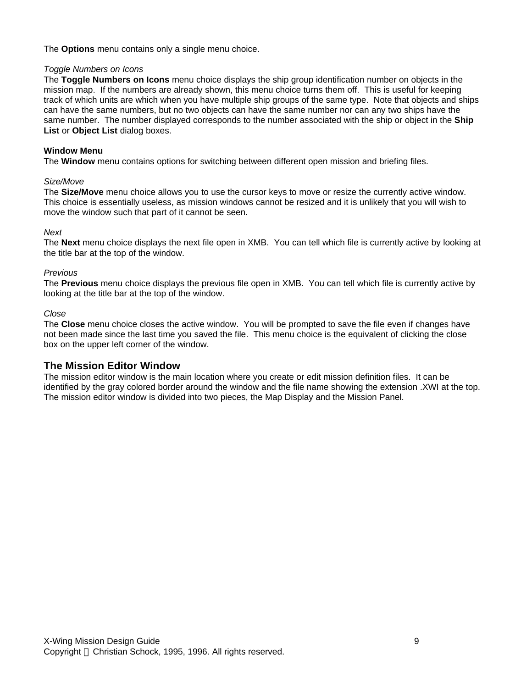The **Options** menu contains only a single menu choice.

#### *Toggle Numbers on Icons*

The **Toggle Numbers on Icons** menu choice displays the ship group identification number on objects in the mission map. If the numbers are already shown, this menu choice turns them off. This is useful for keeping track of which units are which when you have multiple ship groups of the same type. Note that objects and ships can have the same numbers, but no two objects can have the same number nor can any two ships have the same number. The number displayed corresponds to the number associated with the ship or object in the **Ship List** or **Object List** dialog boxes.

#### **Window Menu**

The **Window** menu contains options for switching between different open mission and briefing files.

#### *Size/Move*

The **Size/Move** menu choice allows you to use the cursor keys to move or resize the currently active window. This choice is essentially useless, as mission windows cannot be resized and it is unlikely that you will wish to move the window such that part of it cannot be seen.

#### *Next*

The **Next** menu choice displays the next file open in XMB. You can tell which file is currently active by looking at the title bar at the top of the window.

#### *Previous*

The **Previous** menu choice displays the previous file open in XMB. You can tell which file is currently active by looking at the title bar at the top of the window.

#### *Close*

The **Close** menu choice closes the active window. You will be prompted to save the file even if changes have not been made since the last time you saved the file. This menu choice is the equivalent of clicking the close box on the upper left corner of the window.

### **The Mission Editor Window**

The mission editor window is the main location where you create or edit mission definition files. It can be identified by the gray colored border around the window and the file name showing the extension .XWI at the top. The mission editor window is divided into two pieces, the Map Display and the Mission Panel.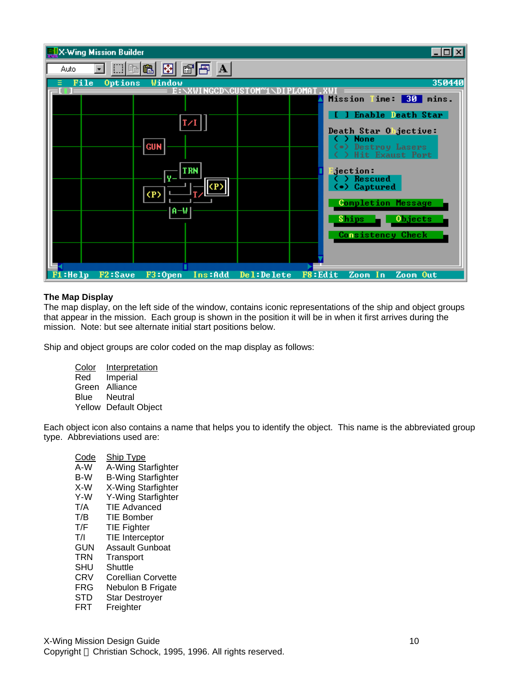| <b>WEX-Wing Mission Builder</b>                                             | $\Box$ o $\overline{\mathbf{x}}$                            |
|-----------------------------------------------------------------------------|-------------------------------------------------------------|
| $\mathbb{C}$ $\mathbb{H}$ a<br>圈<br>⊞■■■<br>Auto<br>$\overline{\mathbf{r}}$ |                                                             |
| File<br><b>Options</b><br>Window                                            | 350440                                                      |
|                                                                             | <b>Mission</b><br>Time: 30 mins.                            |
|                                                                             | [ ] Enable Death Star                                       |
|                                                                             | Death Star Objective:                                       |
| <b>GUN</b>                                                                  | <b>None</b><br>(.) Destroy Lasers<br><b>Hit Exaust Port</b> |
| <b>TRN</b><br>v.                                                            | dection:<br>Rescued                                         |
| CP.                                                                         | (.) Captured                                                |
| ∣A–W                                                                        | <b>Completion Message</b>                                   |
|                                                                             | <b>Ships</b><br><b>Objects</b>                              |
|                                                                             | <b>Consistency Check</b>                                    |
|                                                                             |                                                             |
| F1:He1p<br>$F3:0$ pen<br>F2:Save<br>Ins:Add                                 | <b>F8:Edit</b><br>Del:Delete<br>Zoom In<br>Zoom Out         |

#### **The Map Display**

The map display, on the left side of the window, contains iconic representations of the ship and object groups that appear in the mission. Each group is shown in the position it will be in when it first arrives during the mission. Note: but see alternate initial start positions below.

Ship and object groups are color coded on the map display as follows:

Color Interpretation Red Imperial Green Alliance Blue Neutral Yellow Default Object

Each object icon also contains a name that helps you to identify the object. This name is the abbreviated group type. Abbreviations used are:

Code Ship Type A-W A-Wing Starfighter B-W B-Wing Starfighter X-W X-Wing Starfighter Y-Wing Starfighter T/A TIE Advanced T/B TIE Bomber<br>T/F TIE Fighter **TIE Fighter** T/I TIE Interceptor GUN Assault Gunboat TRN Transport SHU Shuttle CRV Corellian Corvette FRG Nebulon B Frigate STD Star Destroyer FRT Freighter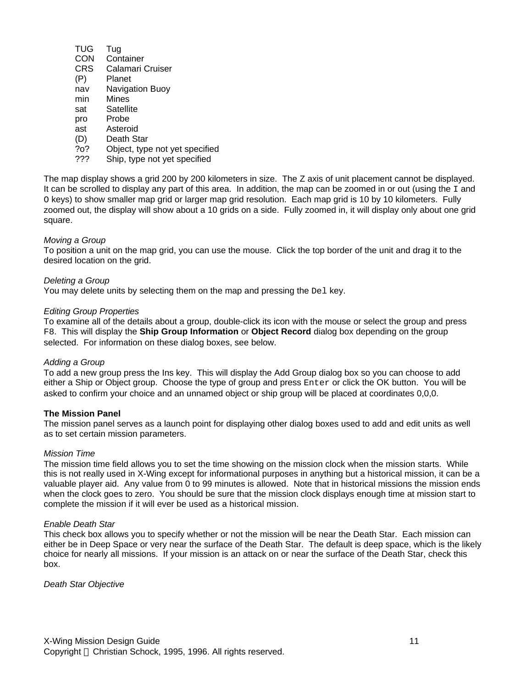- TUG Tug
- CON Container
- CRS Calamari Cruiser
- (P) Planet
- nav Navigation Buoy
- min Mines
- sat Satellite
- pro Probe
- ast Asteroid
- (D) Death Star
- ?o? Object, type not yet specified
- ??? Ship, type not yet specified

The map display shows a grid 200 by 200 kilometers in size. The Z axis of unit placement cannot be displayed. It can be scrolled to display any part of this area. In addition, the map can be zoomed in or out (using the  $I$  and O keys) to show smaller map grid or larger map grid resolution. Each map grid is 10 by 10 kilometers. Fully zoomed out, the display will show about a 10 grids on a side. Fully zoomed in, it will display only about one grid square.

#### *Moving a Group*

To position a unit on the map grid, you can use the mouse. Click the top border of the unit and drag it to the desired location on the grid.

#### *Deleting a Group*

You may delete units by selecting them on the map and pressing the Del key.

#### *Editing Group Properties*

To examine all of the details about a group, double-click its icon with the mouse or select the group and press F8. This will display the **Ship Group Information** or **Object Record** dialog box depending on the group selected. For information on these dialog boxes, see below.

#### *Adding a Group*

To add a new group press the Ins key. This will display the Add Group dialog box so you can choose to add either a Ship or Object group. Choose the type of group and press Enter or click the OK button. You will be asked to confirm your choice and an unnamed object or ship group will be placed at coordinates 0,0,0.

#### **The Mission Panel**

The mission panel serves as a launch point for displaying other dialog boxes used to add and edit units as well as to set certain mission parameters.

#### *Mission Time*

The mission time field allows you to set the time showing on the mission clock when the mission starts. While this is not really used in X-Wing except for informational purposes in anything but a historical mission, it can be a valuable player aid. Any value from 0 to 99 minutes is allowed. Note that in historical missions the mission ends when the clock goes to zero. You should be sure that the mission clock displays enough time at mission start to complete the mission if it will ever be used as a historical mission.

#### *Enable Death Star*

This check box allows you to specify whether or not the mission will be near the Death Star. Each mission can either be in Deep Space or very near the surface of the Death Star. The default is deep space, which is the likely choice for nearly all missions. If your mission is an attack on or near the surface of the Death Star, check this box.

*Death Star Objective*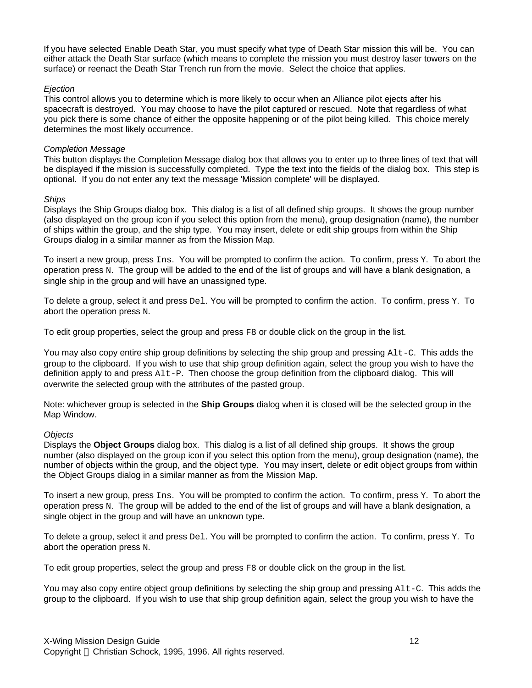If you have selected Enable Death Star, you must specify what type of Death Star mission this will be. You can either attack the Death Star surface (which means to complete the mission you must destroy laser towers on the surface) or reenact the Death Star Trench run from the movie. Select the choice that applies.

#### *Ejection*

This control allows you to determine which is more likely to occur when an Alliance pilot ejects after his spacecraft is destroyed. You may choose to have the pilot captured or rescued. Note that regardless of what you pick there is some chance of either the opposite happening or of the pilot being killed. This choice merely determines the most likely occurrence.

#### *Completion Message*

This button displays the Completion Message dialog box that allows you to enter up to three lines of text that will be displayed if the mission is successfully completed. Type the text into the fields of the dialog box. This step is optional. If you do not enter any text the message 'Mission complete' will be displayed.

#### *Ships*

Displays the Ship Groups dialog box. This dialog is a list of all defined ship groups. It shows the group number (also displayed on the group icon if you select this option from the menu), group designation (name), the number of ships within the group, and the ship type. You may insert, delete or edit ship groups from within the Ship Groups dialog in a similar manner as from the Mission Map.

To insert a new group, press Ins. You will be prompted to confirm the action. To confirm, press Y. To abort the operation press N. The group will be added to the end of the list of groups and will have a blank designation, a single ship in the group and will have an unassigned type.

To delete a group, select it and press Del. You will be prompted to confirm the action. To confirm, press Y. To abort the operation press N.

To edit group properties, select the group and press F8 or double click on the group in the list.

You may also copy entire ship group definitions by selecting the ship group and pressing  $Alt-C$ . This adds the group to the clipboard. If you wish to use that ship group definition again, select the group you wish to have the definition apply to and press  $\text{Alt}-P$ . Then choose the group definition from the clipboard dialog. This will overwrite the selected group with the attributes of the pasted group.

Note: whichever group is selected in the **Ship Groups** dialog when it is closed will be the selected group in the Map Window.

#### *Objects*

Displays the **Object Groups** dialog box. This dialog is a list of all defined ship groups. It shows the group number (also displayed on the group icon if you select this option from the menu), group designation (name), the number of objects within the group, and the object type. You may insert, delete or edit object groups from within the Object Groups dialog in a similar manner as from the Mission Map.

To insert a new group, press Ins. You will be prompted to confirm the action. To confirm, press Y. To abort the operation press N. The group will be added to the end of the list of groups and will have a blank designation, a single object in the group and will have an unknown type.

To delete a group, select it and press Del. You will be prompted to confirm the action. To confirm, press Y. To abort the operation press N.

To edit group properties, select the group and press F8 or double click on the group in the list.

You may also copy entire object group definitions by selecting the ship group and pressing Alt-C. This adds the group to the clipboard. If you wish to use that ship group definition again, select the group you wish to have the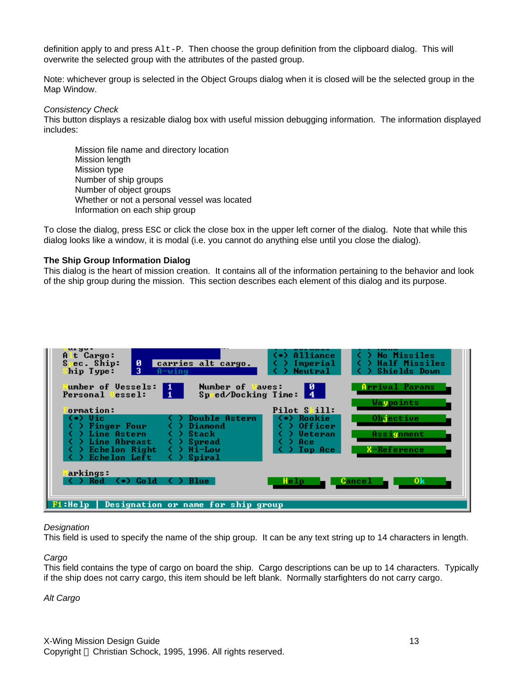definition apply to and press Alt-P. Then choose the group definition from the clipboard dialog. This will overwrite the selected group with the attributes of the pasted group.

Note: whichever group is selected in the Object Groups dialog when it is closed will be the selected group in the Map Window.

#### *Consistency Check*

This button displays a resizable dialog box with useful mission debugging information. The information displayed includes:

Mission file name and directory location Mission length Mission type Number of ship groups Number of object groups Whether or not a personal vessel was located Information on each ship group

To close the dialog, press ESC or click the close box in the upper left corner of the dialog. Note that while this dialog looks like a window, it is modal (i.e. you cannot do anything else until you close the dialog).

#### **The Ship Group Information Dialog**

This dialog is the heart of mission creation. It contains all of the information pertaining to the behavior and look of the ship group during the mission. This section describes each element of this dialog and its purpose.

| urgo.<br>Alt Cargo:<br>ø<br>carries alt cargo.<br>Spec. Ship:<br>3<br>hip Type:<br>$A = w$ ing                                                                                                                                                                                                          | (.) Alliance<br>( ) No Missiles<br>) Half Missiles<br>) Imperial<br><b>Shields Down</b><br><b>Neutral</b>                                                         |
|---------------------------------------------------------------------------------------------------------------------------------------------------------------------------------------------------------------------------------------------------------------------------------------------------------|-------------------------------------------------------------------------------------------------------------------------------------------------------------------|
| umber of Vessels:<br>Number of Waves:<br>$\frac{1}{1}$<br>Speed/Docking Time: 4<br>Personal lessel:<br>ormation:<br>(•) Uic<br>Double Astern<br>Diamond<br>Finger Four<br>Line Astern<br>Stack<br>Line Abreast<br>Spread<br>Echelon Right<br>Hi-Low<br>$\left( \quad \right)$<br>Echelon Left<br>Spiral | <b>Arrival Params</b><br>и<br>Waypoints<br>Pilot Skill:<br>Objective<br>Rookie<br>Officer<br><b>Ueteran</b><br>Assignment<br>Ace<br><b>X-Reference</b><br>Top Ace |
| arkings:<br>( ) Red<br>(∙) Gold<br><b>Blue</b><br>Fi:Help   Designation or name for ship group                                                                                                                                                                                                          | 0 <sup>k</sup><br><b>Cancel</b><br>Help                                                                                                                           |

#### *Designation*

This field is used to specify the name of the ship group. It can be any text string up to 14 characters in length.

#### *Cargo*

This field contains the type of cargo on board the ship. Cargo descriptions can be up to 14 characters. Typically if the ship does not carry cargo, this item should be left blank. Normally starfighters do not carry cargo.

#### *Alt Cargo*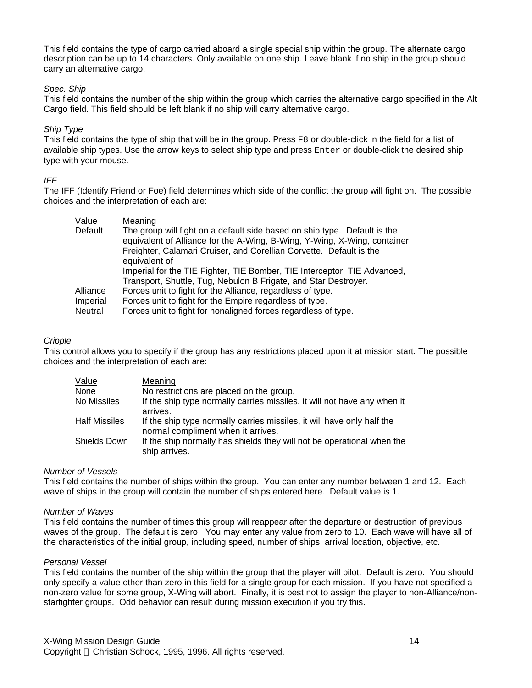This field contains the type of cargo carried aboard a single special ship within the group. The alternate cargo description can be up to 14 characters. Only available on one ship. Leave blank if no ship in the group should carry an alternative cargo.

#### *Spec. Ship*

This field contains the number of the ship within the group which carries the alternative cargo specified in the Alt Cargo field. This field should be left blank if no ship will carry alternative cargo.

#### *Ship Type*

This field contains the type of ship that will be in the group. Press F8 or double-click in the field for a list of available ship types. Use the arrow keys to select ship type and press Enter or double-click the desired ship type with your mouse.

#### *IFF*

The IFF (Identify Friend or Foe) field determines which side of the conflict the group will fight on. The possible choices and the interpretation of each are:

| Value    | Meaning                                                                                                                                                                                                                                        |
|----------|------------------------------------------------------------------------------------------------------------------------------------------------------------------------------------------------------------------------------------------------|
| Default  | The group will fight on a default side based on ship type. Default is the<br>equivalent of Alliance for the A-Wing, B-Wing, Y-Wing, X-Wing, container,<br>Freighter, Calamari Cruiser, and Corellian Corvette. Default is the<br>equivalent of |
|          | Imperial for the TIE Fighter, TIE Bomber, TIE Interceptor, TIE Advanced,                                                                                                                                                                       |
|          | Transport, Shuttle, Tug, Nebulon B Frigate, and Star Destroyer.                                                                                                                                                                                |
| Alliance | Forces unit to fight for the Alliance, regardless of type.                                                                                                                                                                                     |
| Imperial | Forces unit to fight for the Empire regardless of type.                                                                                                                                                                                        |
| Neutral  | Forces unit to fight for nonaligned forces regardless of type.                                                                                                                                                                                 |

#### *Cripple*

This control allows you to specify if the group has any restrictions placed upon it at mission start. The possible choices and the interpretation of each are:

| Value         | Meaning                                                                                                      |
|---------------|--------------------------------------------------------------------------------------------------------------|
| None          | No restrictions are placed on the group.                                                                     |
| No Missiles   | If the ship type normally carries missiles, it will not have any when it<br>arrives.                         |
| Half Missiles | If the ship type normally carries missiles, it will have only half the<br>normal compliment when it arrives. |
| Shields Down  | If the ship normally has shields they will not be operational when the<br>ship arrives.                      |

#### *Number of Vessels*

This field contains the number of ships within the group. You can enter any number between 1 and 12. Each wave of ships in the group will contain the number of ships entered here. Default value is 1.

#### *Number of Waves*

This field contains the number of times this group will reappear after the departure or destruction of previous waves of the group. The default is zero. You may enter any value from zero to 10. Each wave will have all of the characteristics of the initial group, including speed, number of ships, arrival location, objective, etc.

#### *Personal Vessel*

This field contains the number of the ship within the group that the player will pilot. Default is zero. You should only specify a value other than zero in this field for a single group for each mission. If you have not specified a non-zero value for some group, X-Wing will abort. Finally, it is best not to assign the player to non-Alliance/nonstarfighter groups. Odd behavior can result during mission execution if you try this.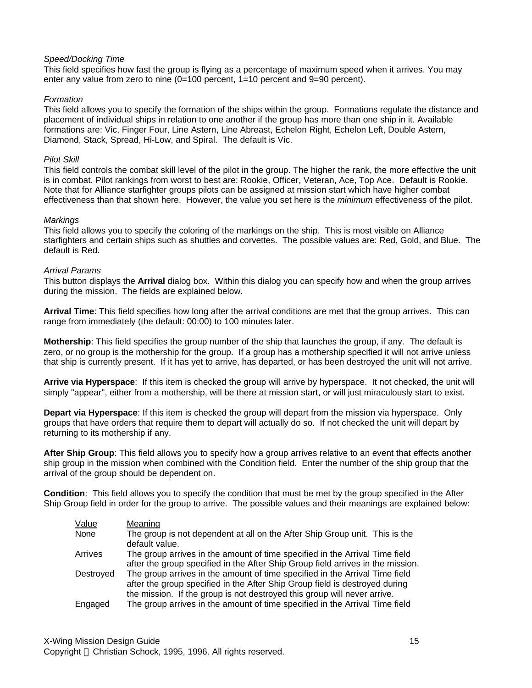#### *Speed/Docking Time*

This field specifies how fast the group is flying as a percentage of maximum speed when it arrives. You may enter any value from zero to nine (0=100 percent, 1=10 percent and 9=90 percent).

#### *Formation*

This field allows you to specify the formation of the ships within the group. Formations regulate the distance and placement of individual ships in relation to one another if the group has more than one ship in it. Available formations are: Vic, Finger Four, Line Astern, Line Abreast, Echelon Right, Echelon Left, Double Astern, Diamond, Stack, Spread, Hi-Low, and Spiral. The default is Vic.

#### *Pilot Skill*

This field controls the combat skill level of the pilot in the group. The higher the rank, the more effective the unit is in combat. Pilot rankings from worst to best are: Rookie, Officer, Veteran, Ace, Top Ace. Default is Rookie. Note that for Alliance starfighter groups pilots can be assigned at mission start which have higher combat effectiveness than that shown here. However, the value you set here is the *minimum* effectiveness of the pilot.

#### *Markings*

This field allows you to specify the coloring of the markings on the ship. This is most visible on Alliance starfighters and certain ships such as shuttles and corvettes. The possible values are: Red, Gold, and Blue. The default is Red.

#### *Arrival Params*

This button displays the **Arrival** dialog box. Within this dialog you can specify how and when the group arrives during the mission. The fields are explained below.

**Arrival Time**: This field specifies how long after the arrival conditions are met that the group arrives. This can range from immediately (the default: 00:00) to 100 minutes later.

**Mothership**: This field specifies the group number of the ship that launches the group, if any. The default is zero, or no group is the mothership for the group. If a group has a mothership specified it will not arrive unless that ship is currently present. If it has yet to arrive, has departed, or has been destroyed the unit will not arrive.

**Arrive via Hyperspace**: If this item is checked the group will arrive by hyperspace. It not checked, the unit will simply "appear", either from a mothership, will be there at mission start, or will just miraculously start to exist.

**Depart via Hyperspace**: If this item is checked the group will depart from the mission via hyperspace. Only groups that have orders that require them to depart will actually do so. If not checked the unit will depart by returning to its mothership if any.

**After Ship Group**: This field allows you to specify how a group arrives relative to an event that effects another ship group in the mission when combined with the Condition field. Enter the number of the ship group that the arrival of the group should be dependent on.

**Condition**: This field allows you to specify the condition that must be met by the group specified in the After Ship Group field in order for the group to arrive. The possible values and their meanings are explained below:

| Value     | Meaning                                                                                                                                                                                                                                |
|-----------|----------------------------------------------------------------------------------------------------------------------------------------------------------------------------------------------------------------------------------------|
| None      | The group is not dependent at all on the After Ship Group unit. This is the<br>default value.                                                                                                                                          |
| Arrives   | The group arrives in the amount of time specified in the Arrival Time field<br>after the group specified in the After Ship Group field arrives in the mission.                                                                         |
| Destroyed | The group arrives in the amount of time specified in the Arrival Time field<br>after the group specified in the After Ship Group field is destroyed during<br>the mission. If the group is not destroyed this group will never arrive. |
| Engaged   | The group arrives in the amount of time specified in the Arrival Time field                                                                                                                                                            |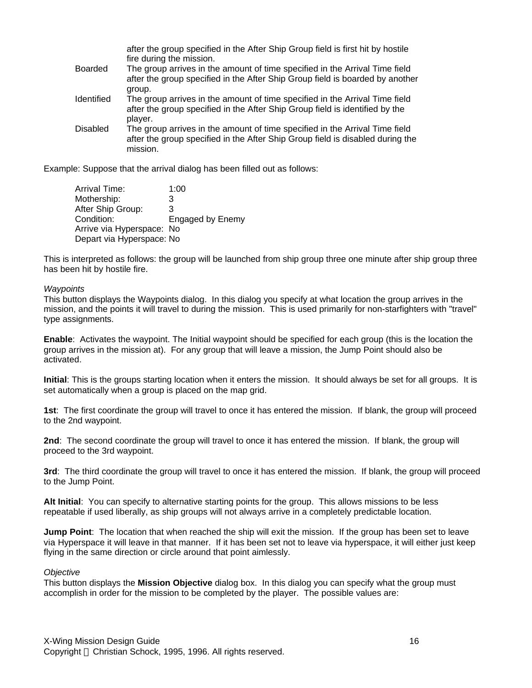|                 | after the group specified in the After Ship Group field is first hit by hostile<br>fire during the mission.                                                               |
|-----------------|---------------------------------------------------------------------------------------------------------------------------------------------------------------------------|
| Boarded         | The group arrives in the amount of time specified in the Arrival Time field<br>after the group specified in the After Ship Group field is boarded by another<br>group.    |
| Identified      | The group arrives in the amount of time specified in the Arrival Time field<br>after the group specified in the After Ship Group field is identified by the<br>player.    |
| <b>Disabled</b> | The group arrives in the amount of time specified in the Arrival Time field<br>after the group specified in the After Ship Group field is disabled during the<br>mission. |

Example: Suppose that the arrival dialog has been filled out as follows:

| Arrival Time:             | 1:00                    |
|---------------------------|-------------------------|
| Mothership:               | 3                       |
| After Ship Group:         | 3                       |
| Condition:                | <b>Engaged by Enemy</b> |
| Arrive via Hyperspace: No |                         |
| Depart via Hyperspace: No |                         |

This is interpreted as follows: the group will be launched from ship group three one minute after ship group three has been hit by hostile fire.

#### *Waypoints*

This button displays the Waypoints dialog. In this dialog you specify at what location the group arrives in the mission, and the points it will travel to during the mission. This is used primarily for non-starfighters with "travel" type assignments.

**Enable**: Activates the waypoint. The Initial waypoint should be specified for each group (this is the location the group arrives in the mission at). For any group that will leave a mission, the Jump Point should also be activated.

**Initial**: This is the groups starting location when it enters the mission. It should always be set for all groups. It is set automatically when a group is placed on the map grid.

**1st**: The first coordinate the group will travel to once it has entered the mission. If blank, the group will proceed to the 2nd waypoint.

**2nd**: The second coordinate the group will travel to once it has entered the mission. If blank, the group will proceed to the 3rd waypoint.

**3rd**: The third coordinate the group will travel to once it has entered the mission. If blank, the group will proceed to the Jump Point.

**Alt Initial**: You can specify to alternative starting points for the group. This allows missions to be less repeatable if used liberally, as ship groups will not always arrive in a completely predictable location.

**Jump Point**: The location that when reached the ship will exit the mission. If the group has been set to leave via Hyperspace it will leave in that manner. If it has been set not to leave via hyperspace, it will either just keep flying in the same direction or circle around that point aimlessly.

#### *Objective*

This button displays the **Mission Objective** dialog box. In this dialog you can specify what the group must accomplish in order for the mission to be completed by the player. The possible values are: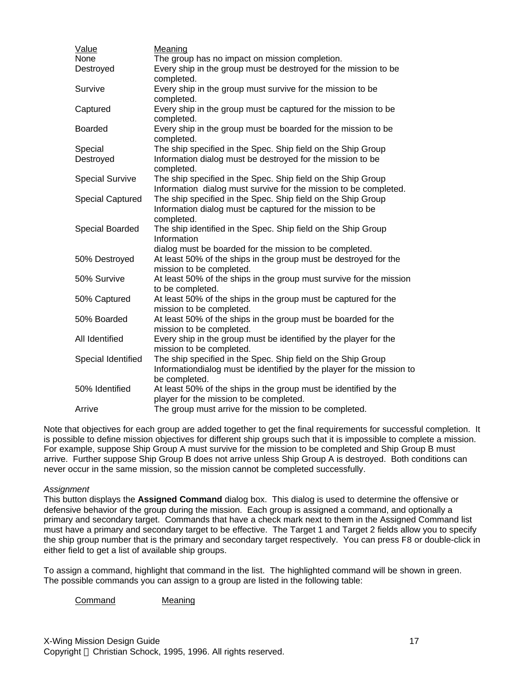| Value                   | Meaning                                                                                                                                                 |
|-------------------------|---------------------------------------------------------------------------------------------------------------------------------------------------------|
| None                    | The group has no impact on mission completion.                                                                                                          |
| Destroyed               | Every ship in the group must be destroyed for the mission to be<br>completed.                                                                           |
| Survive                 | Every ship in the group must survive for the mission to be<br>completed.                                                                                |
| Captured                | Every ship in the group must be captured for the mission to be<br>completed.                                                                            |
| <b>Boarded</b>          | Every ship in the group must be boarded for the mission to be<br>completed.                                                                             |
| Special                 | The ship specified in the Spec. Ship field on the Ship Group                                                                                            |
| Destroyed               | Information dialog must be destroyed for the mission to be<br>completed.                                                                                |
| <b>Special Survive</b>  | The ship specified in the Spec. Ship field on the Ship Group<br>Information dialog must survive for the mission to be completed.                        |
| <b>Special Captured</b> | The ship specified in the Spec. Ship field on the Ship Group<br>Information dialog must be captured for the mission to be<br>completed.                 |
| Special Boarded         | The ship identified in the Spec. Ship field on the Ship Group<br>Information                                                                            |
| 50% Destroyed           | dialog must be boarded for the mission to be completed.<br>At least 50% of the ships in the group must be destroyed for the<br>mission to be completed. |
| 50% Survive             | At least 50% of the ships in the group must survive for the mission<br>to be completed.                                                                 |
| 50% Captured            | At least 50% of the ships in the group must be captured for the<br>mission to be completed.                                                             |
| 50% Boarded             | At least 50% of the ships in the group must be boarded for the<br>mission to be completed.                                                              |
| All Identified          | Every ship in the group must be identified by the player for the<br>mission to be completed.                                                            |
| Special Identified      | The ship specified in the Spec. Ship field on the Ship Group<br>Informationdialog must be identified by the player for the mission to<br>be completed.  |
| 50% Identified          | At least 50% of the ships in the group must be identified by the<br>player for the mission to be completed.                                             |
| Arrive                  | The group must arrive for the mission to be completed.                                                                                                  |
|                         |                                                                                                                                                         |

Note that objectives for each group are added together to get the final requirements for successful completion. It is possible to define mission objectives for different ship groups such that it is impossible to complete a mission. For example, suppose Ship Group A must survive for the mission to be completed and Ship Group B must arrive. Further suppose Ship Group B does not arrive unless Ship Group A is destroyed. Both conditions can never occur in the same mission, so the mission cannot be completed successfully.

#### *Assignment*

This button displays the **Assigned Command** dialog box. This dialog is used to determine the offensive or defensive behavior of the group during the mission. Each group is assigned a command, and optionally a primary and secondary target. Commands that have a check mark next to them in the Assigned Command list must have a primary and secondary target to be effective. The Target 1 and Target 2 fields allow you to specify the ship group number that is the primary and secondary target respectively. You can press F8 or double-click in either field to get a list of available ship groups.

To assign a command, highlight that command in the list. The highlighted command will be shown in green. The possible commands you can assign to a group are listed in the following table:

Command Meaning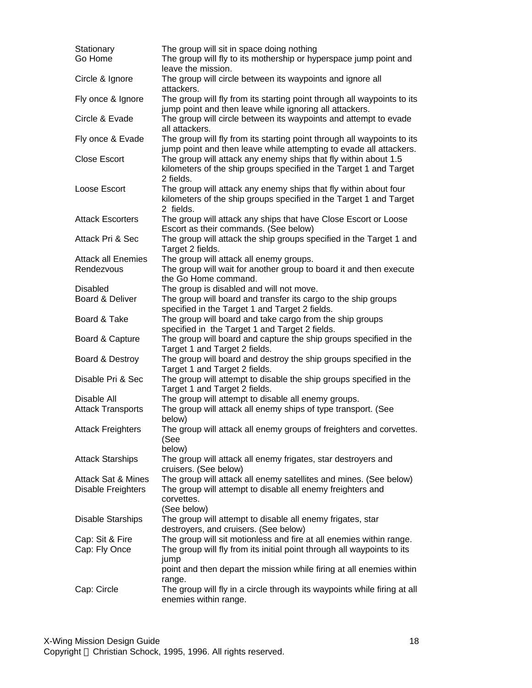| Stationary<br>Go Home                               | The group will sit in space doing nothing<br>The group will fly to its mothership or hyperspace jump point and                                               |
|-----------------------------------------------------|--------------------------------------------------------------------------------------------------------------------------------------------------------------|
| Circle & Ignore                                     | leave the mission.<br>The group will circle between its waypoints and ignore all                                                                             |
| Fly once & Ignore                                   | attackers.<br>The group will fly from its starting point through all waypoints to its                                                                        |
| Circle & Evade                                      | jump point and then leave while ignoring all attackers.<br>The group will circle between its waypoints and attempt to evade<br>all attackers.                |
| Fly once & Evade                                    | The group will fly from its starting point through all waypoints to its<br>jump point and then leave while attempting to evade all attackers.                |
| <b>Close Escort</b>                                 | The group will attack any enemy ships that fly within about 1.5<br>kilometers of the ship groups specified in the Target 1 and Target<br>2 fields.           |
| Loose Escort                                        | The group will attack any enemy ships that fly within about four<br>kilometers of the ship groups specified in the Target 1 and Target<br>2 fields.          |
| <b>Attack Escorters</b>                             | The group will attack any ships that have Close Escort or Loose<br>Escort as their commands. (See below)                                                     |
| Attack Pri & Sec                                    | The group will attack the ship groups specified in the Target 1 and<br>Target 2 fields.                                                                      |
| <b>Attack all Enemies</b><br>Rendezvous             | The group will attack all enemy groups.<br>The group will wait for another group to board it and then execute<br>the Go Home command.                        |
| <b>Disabled</b><br>Board & Deliver                  | The group is disabled and will not move.<br>The group will board and transfer its cargo to the ship groups                                                   |
|                                                     | specified in the Target 1 and Target 2 fields.                                                                                                               |
| Board & Take                                        | The group will board and take cargo from the ship groups<br>specified in the Target 1 and Target 2 fields.                                                   |
| Board & Capture                                     | The group will board and capture the ship groups specified in the<br>Target 1 and Target 2 fields.                                                           |
| Board & Destroy                                     | The group will board and destroy the ship groups specified in the<br>Target 1 and Target 2 fields.                                                           |
| Disable Pri & Sec                                   | The group will attempt to disable the ship groups specified in the<br>Target 1 and Target 2 fields.                                                          |
| Disable All<br><b>Attack Transports</b>             | The group will attempt to disable all enemy groups.<br>The group will attack all enemy ships of type transport. (See<br>below)                               |
| <b>Attack Freighters</b>                            | The group will attack all enemy groups of freighters and corvettes.<br>(See<br>below)                                                                        |
| <b>Attack Starships</b>                             | The group will attack all enemy frigates, star destroyers and<br>cruisers. (See below)                                                                       |
| <b>Attack Sat &amp; Mines</b><br>Disable Freighters | The group will attack all enemy satellites and mines. (See below)<br>The group will attempt to disable all enemy freighters and<br>corvettes.<br>(See below) |
| <b>Disable Starships</b>                            | The group will attempt to disable all enemy frigates, star<br>destroyers, and cruisers. (See below)                                                          |
| Cap: Sit & Fire<br>Cap: Fly Once                    | The group will sit motionless and fire at all enemies within range.<br>The group will fly from its initial point through all waypoints to its<br>jump        |
|                                                     | point and then depart the mission while firing at all enemies within<br>range.                                                                               |
| Cap: Circle                                         | The group will fly in a circle through its waypoints while firing at all<br>enemies within range.                                                            |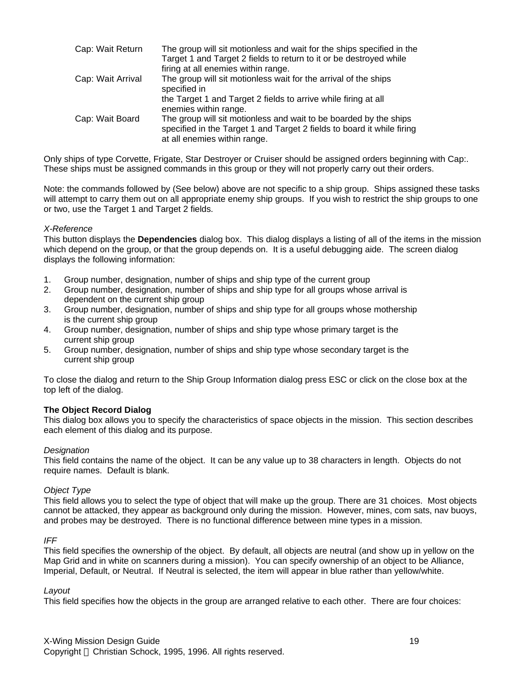| Cap: Wait Return  | The group will sit motionless and wait for the ships specified in the<br>Target 1 and Target 2 fields to return to it or be destroyed while                                 |
|-------------------|-----------------------------------------------------------------------------------------------------------------------------------------------------------------------------|
|                   | firing at all enemies within range.                                                                                                                                         |
| Cap: Wait Arrival | The group will sit motionless wait for the arrival of the ships<br>specified in                                                                                             |
|                   | the Target 1 and Target 2 fields to arrive while firing at all<br>enemies within range.                                                                                     |
| Cap: Wait Board   | The group will sit motionless and wait to be boarded by the ships<br>specified in the Target 1 and Target 2 fields to board it while firing<br>at all enemies within range. |

Only ships of type Corvette, Frigate, Star Destroyer or Cruiser should be assigned orders beginning with Cap:. These ships must be assigned commands in this group or they will not properly carry out their orders.

Note: the commands followed by (See below) above are not specific to a ship group. Ships assigned these tasks will attempt to carry them out on all appropriate enemy ship groups. If you wish to restrict the ship groups to one or two, use the Target 1 and Target 2 fields.

#### *X-Reference*

This button displays the **Dependencies** dialog box. This dialog displays a listing of all of the items in the mission which depend on the group, or that the group depends on. It is a useful debugging aide. The screen dialog displays the following information:

- 1. Group number, designation, number of ships and ship type of the current group
- 2. Group number, designation, number of ships and ship type for all groups whose arrival is dependent on the current ship group
- 3. Group number, designation, number of ships and ship type for all groups whose mothership is the current ship group
- 4. Group number, designation, number of ships and ship type whose primary target is the current ship group
- 5. Group number, designation, number of ships and ship type whose secondary target is the current ship group

To close the dialog and return to the Ship Group Information dialog press ESC or click on the close box at the top left of the dialog.

#### **The Object Record Dialog**

This dialog box allows you to specify the characteristics of space objects in the mission. This section describes each element of this dialog and its purpose.

#### *Designation*

This field contains the name of the object. It can be any value up to 38 characters in length. Objects do not require names. Default is blank.

#### *Object Type*

This field allows you to select the type of object that will make up the group. There are 31 choices. Most objects cannot be attacked, they appear as background only during the mission. However, mines, com sats, nav buoys, and probes may be destroyed. There is no functional difference between mine types in a mission.

#### *IFF*

This field specifies the ownership of the object. By default, all objects are neutral (and show up in yellow on the Map Grid and in white on scanners during a mission). You can specify ownership of an object to be Alliance, Imperial, Default, or Neutral. If Neutral is selected, the item will appear in blue rather than yellow/white.

#### *Layout*

This field specifies how the objects in the group are arranged relative to each other. There are four choices: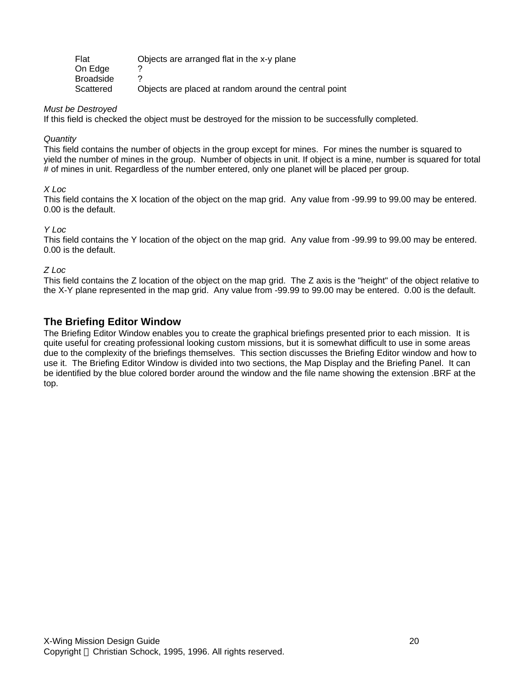| Flat             | Objects are arranged flat in the x-y plane            |
|------------------|-------------------------------------------------------|
| On Edge          |                                                       |
| <b>Broadside</b> |                                                       |
| Scattered        | Objects are placed at random around the central point |

#### *Must be Destroyed*

If this field is checked the object must be destroyed for the mission to be successfully completed.

#### *Quantity*

This field contains the number of objects in the group except for mines. For mines the number is squared to yield the number of mines in the group. Number of objects in unit. If object is a mine, number is squared for total # of mines in unit. Regardless of the number entered, only one planet will be placed per group.

#### *X Loc*

This field contains the X location of the object on the map grid. Any value from -99.99 to 99.00 may be entered. 0.00 is the default.

#### *Y Loc*

This field contains the Y location of the object on the map grid. Any value from -99.99 to 99.00 may be entered. 0.00 is the default.

#### *Z Loc*

This field contains the Z location of the object on the map grid. The Z axis is the "height" of the object relative to the X-Y plane represented in the map grid. Any value from -99.99 to 99.00 may be entered. 0.00 is the default.

### **The Briefing Editor Window**

The Briefing Editor Window enables you to create the graphical briefings presented prior to each mission. It is quite useful for creating professional looking custom missions, but it is somewhat difficult to use in some areas due to the complexity of the briefings themselves. This section discusses the Briefing Editor window and how to use it. The Briefing Editor Window is divided into two sections, the Map Display and the Briefing Panel. It can be identified by the blue colored border around the window and the file name showing the extension .BRF at the top.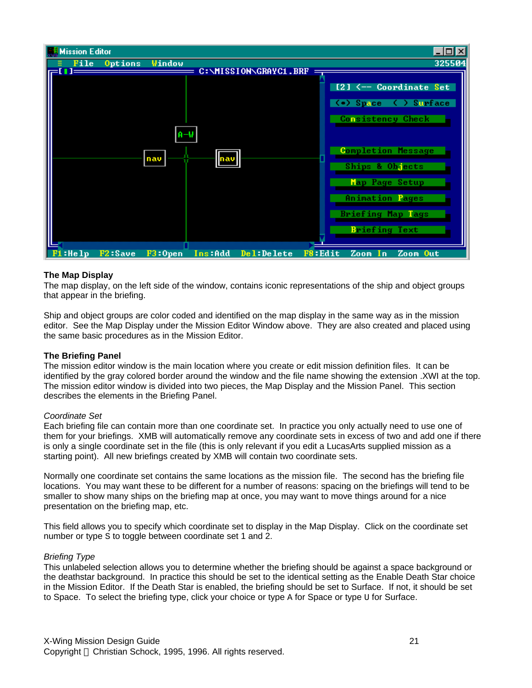

#### **The Map Display**

The map display, on the left side of the window, contains iconic representations of the ship and object groups that appear in the briefing.

Ship and object groups are color coded and identified on the map display in the same way as in the mission editor. See the Map Display under the Mission Editor Window above. They are also created and placed using the same basic procedures as in the Mission Editor.

#### **The Briefing Panel**

The mission editor window is the main location where you create or edit mission definition files. It can be identified by the gray colored border around the window and the file name showing the extension .XWI at the top. The mission editor window is divided into two pieces, the Map Display and the Mission Panel. This section describes the elements in the Briefing Panel.

#### *Coordinate Set*

Each briefing file can contain more than one coordinate set. In practice you only actually need to use one of them for your briefings. XMB will automatically remove any coordinate sets in excess of two and add one if there is only a single coordinate set in the file (this is only relevant if you edit a LucasArts supplied mission as a starting point). All new briefings created by XMB will contain two coordinate sets.

Normally one coordinate set contains the same locations as the mission file. The second has the briefing file locations. You may want these to be different for a number of reasons: spacing on the briefings will tend to be smaller to show many ships on the briefing map at once, you may want to move things around for a nice presentation on the briefing map, etc.

This field allows you to specify which coordinate set to display in the Map Display. Click on the coordinate set number or type S to toggle between coordinate set 1 and 2.

#### *Briefing Type*

This unlabeled selection allows you to determine whether the briefing should be against a space background or the deathstar background. In practice this should be set to the identical setting as the Enable Death Star choice in the Mission Editor. If the Death Star is enabled, the briefing should be set to Surface. If not, it should be set to Space. To select the briefing type, click your choice or type A for Space or type U for Surface.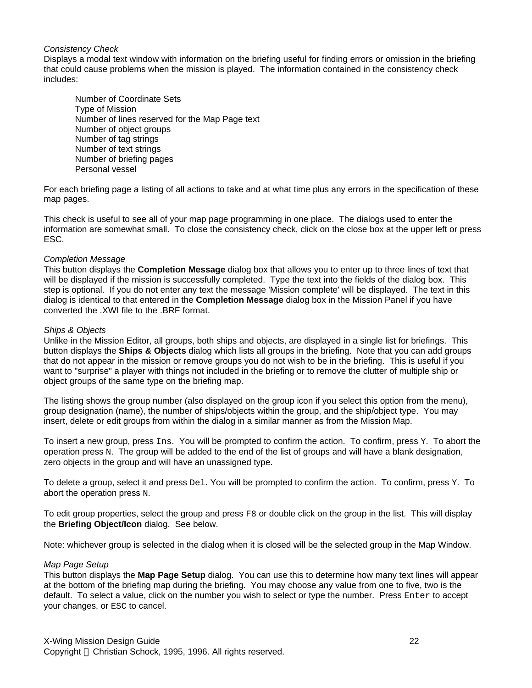#### *Consistency Check*

Displays a modal text window with information on the briefing useful for finding errors or omission in the briefing that could cause problems when the mission is played. The information contained in the consistency check includes:

Number of Coordinate Sets Type of Mission Number of lines reserved for the Map Page text Number of object groups Number of tag strings Number of text strings Number of briefing pages Personal vessel

For each briefing page a listing of all actions to take and at what time plus any errors in the specification of these map pages.

This check is useful to see all of your map page programming in one place. The dialogs used to enter the information are somewhat small. To close the consistency check, click on the close box at the upper left or press ESC.

#### *Completion Message*

This button displays the **Completion Message** dialog box that allows you to enter up to three lines of text that will be displayed if the mission is successfully completed. Type the text into the fields of the dialog box. This step is optional. If you do not enter any text the message 'Mission complete' will be displayed. The text in this dialog is identical to that entered in the **Completion Message** dialog box in the Mission Panel if you have converted the .XWI file to the .BRF format.

#### *Ships & Objects*

Unlike in the Mission Editor, all groups, both ships and objects, are displayed in a single list for briefings. This button displays the **Ships & Objects** dialog which lists all groups in the briefing. Note that you can add groups that do not appear in the mission or remove groups you do not wish to be in the briefing. This is useful if you want to "surprise" a player with things not included in the briefing or to remove the clutter of multiple ship or object groups of the same type on the briefing map.

The listing shows the group number (also displayed on the group icon if you select this option from the menu), group designation (name), the number of ships/objects within the group, and the ship/object type. You may insert, delete or edit groups from within the dialog in a similar manner as from the Mission Map.

To insert a new group, press Ins. You will be prompted to confirm the action. To confirm, press Y. To abort the operation press N. The group will be added to the end of the list of groups and will have a blank designation, zero objects in the group and will have an unassigned type.

To delete a group, select it and press Del. You will be prompted to confirm the action. To confirm, press Y. To abort the operation press N.

To edit group properties, select the group and press F8 or double click on the group in the list. This will display the **Briefing Object/Icon** dialog. See below.

Note: whichever group is selected in the dialog when it is closed will be the selected group in the Map Window.

#### *Map Page Setup*

This button displays the **Map Page Setup** dialog. You can use this to determine how many text lines will appear at the bottom of the briefing map during the briefing. You may choose any value from one to five, two is the default. To select a value, click on the number you wish to select or type the number. Press Enter to accept your changes, or ESC to cancel.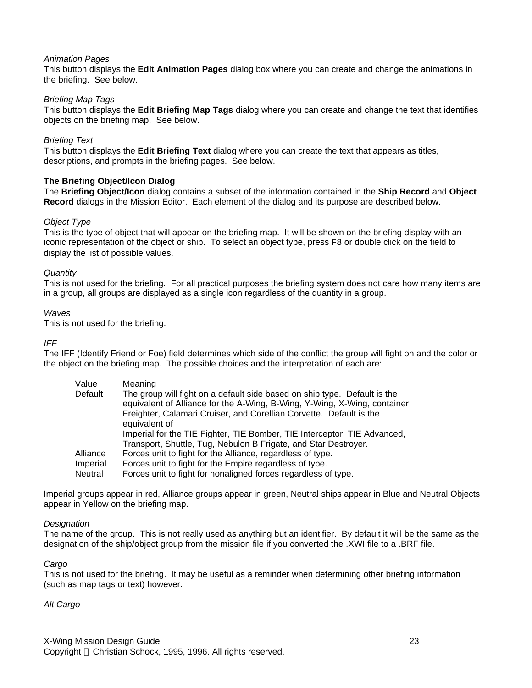#### *Animation Pages*

This button displays the **Edit Animation Pages** dialog box where you can create and change the animations in the briefing. See below.

#### *Briefing Map Tags*

This button displays the **Edit Briefing Map Tags** dialog where you can create and change the text that identifies objects on the briefing map. See below.

#### *Briefing Text*

This button displays the **Edit Briefing Text** dialog where you can create the text that appears as titles, descriptions, and prompts in the briefing pages. See below.

#### **The Briefing Object/Icon Dialog**

The **Briefing Object/Icon** dialog contains a subset of the information contained in the **Ship Record** and **Object Record** dialogs in the Mission Editor. Each element of the dialog and its purpose are described below.

#### *Object Type*

This is the type of object that will appear on the briefing map. It will be shown on the briefing display with an iconic representation of the object or ship. To select an object type, press F8 or double click on the field to display the list of possible values.

#### *Quantity*

This is not used for the briefing. For all practical purposes the briefing system does not care how many items are in a group, all groups are displayed as a single icon regardless of the quantity in a group.

#### *Waves*

This is not used for the briefing.

#### *IFF*

The IFF (Identify Friend or Foe) field determines which side of the conflict the group will fight on and the color or the object on the briefing map. The possible choices and the interpretation of each are:

| Value    | Meaning                                                                                                                                                                                                                                        |
|----------|------------------------------------------------------------------------------------------------------------------------------------------------------------------------------------------------------------------------------------------------|
| Default  | The group will fight on a default side based on ship type. Default is the<br>equivalent of Alliance for the A-Wing, B-Wing, Y-Wing, X-Wing, container,<br>Freighter, Calamari Cruiser, and Corellian Corvette. Default is the<br>equivalent of |
|          | Imperial for the TIE Fighter, TIE Bomber, TIE Interceptor, TIE Advanced,                                                                                                                                                                       |
|          | Transport, Shuttle, Tug, Nebulon B Frigate, and Star Destroyer.                                                                                                                                                                                |
| Alliance | Forces unit to fight for the Alliance, regardless of type.                                                                                                                                                                                     |
| Imperial | Forces unit to fight for the Empire regardless of type.                                                                                                                                                                                        |
| Neutral  | Forces unit to fight for nonaligned forces regardless of type.                                                                                                                                                                                 |

Imperial groups appear in red, Alliance groups appear in green, Neutral ships appear in Blue and Neutral Objects appear in Yellow on the briefing map.

#### *Designation*

The name of the group. This is not really used as anything but an identifier. By default it will be the same as the designation of the ship/object group from the mission file if you converted the .XWI file to a .BRF file.

#### *Cargo*

This is not used for the briefing. It may be useful as a reminder when determining other briefing information (such as map tags or text) however.

#### *Alt Cargo*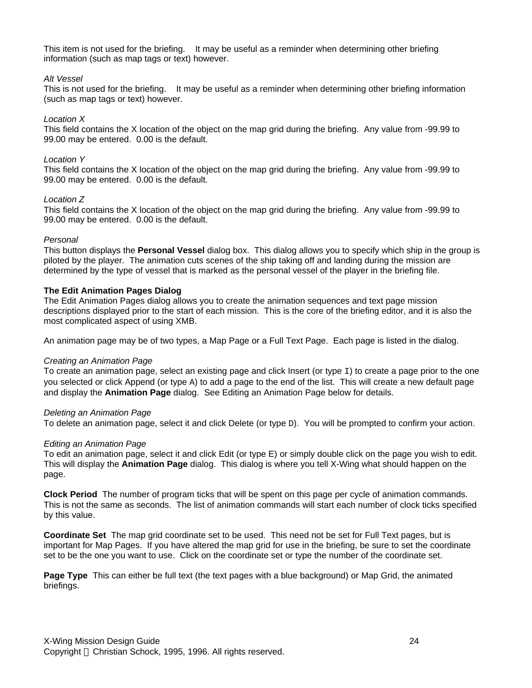This item is not used for the briefing. It may be useful as a reminder when determining other briefing information (such as map tags or text) however.

#### *Alt Vessel*

This is not used for the briefing. It may be useful as a reminder when determining other briefing information (such as map tags or text) however.

#### *Location X*

This field contains the X location of the object on the map grid during the briefing. Any value from -99.99 to 99.00 may be entered. 0.00 is the default.

#### *Location Y*

This field contains the X location of the object on the map grid during the briefing. Any value from -99.99 to 99.00 may be entered. 0.00 is the default.

#### *Location Z*

This field contains the X location of the object on the map grid during the briefing. Any value from -99.99 to 99.00 may be entered. 0.00 is the default.

#### *Personal*

This button displays the **Personal Vessel** dialog box. This dialog allows you to specify which ship in the group is piloted by the player. The animation cuts scenes of the ship taking off and landing during the mission are determined by the type of vessel that is marked as the personal vessel of the player in the briefing file.

#### **The Edit Animation Pages Dialog**

The Edit Animation Pages dialog allows you to create the animation sequences and text page mission descriptions displayed prior to the start of each mission. This is the core of the briefing editor, and it is also the most complicated aspect of using XMB.

An animation page may be of two types, a Map Page or a Full Text Page. Each page is listed in the dialog.

#### *Creating an Animation Page*

To create an animation page, select an existing page and click Insert (or type  $I$ ) to create a page prior to the one you selected or click Append (or type A) to add a page to the end of the list. This will create a new default page and display the **Animation Page** dialog. See Editing an Animation Page below for details.

#### *Deleting an Animation Page*

To delete an animation page, select it and click Delete (or type D). You will be prompted to confirm your action.

#### *Editing an Animation Page*

To edit an animation page, select it and click Edit (or type E) or simply double click on the page you wish to edit. This will display the **Animation Page** dialog. This dialog is where you tell X-Wing what should happen on the page.

**Clock Period** The number of program ticks that will be spent on this page per cycle of animation commands. This is not the same as seconds. The list of animation commands will start each number of clock ticks specified by this value.

**Coordinate Set** The map grid coordinate set to be used. This need not be set for Full Text pages, but is important for Map Pages. If you have altered the map grid for use in the briefing, be sure to set the coordinate set to be the one you want to use. Click on the coordinate set or type the number of the coordinate set.

**Page Type** This can either be full text (the text pages with a blue background) or Map Grid, the animated briefings.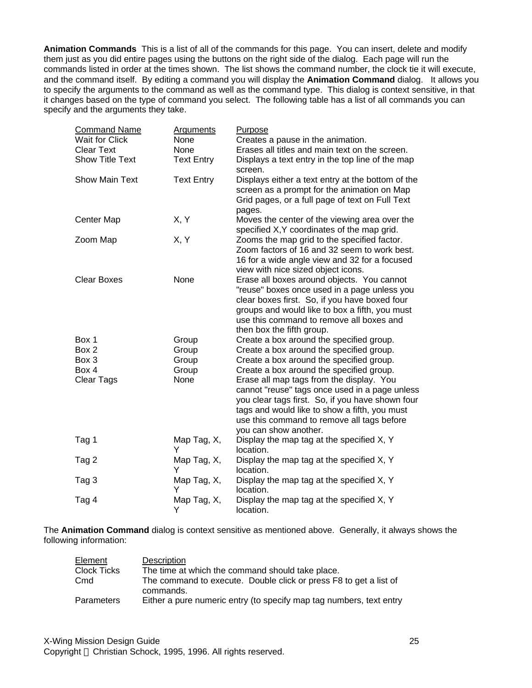**Animation Commands** This is a list of all of the commands for this page. You can insert, delete and modify them just as you did entire pages using the buttons on the right side of the dialog. Each page will run the commands listed in order at the times shown. The list shows the command number, the clock tie it will execute, and the command itself. By editing a command you will display the **Animation Command** dialog. It allows you to specify the arguments to the command as well as the command type. This dialog is context sensitive, in that it changes based on the type of command you select. The following table has a list of all commands you can specify and the arguments they take.

| <b>Command Name</b>    | <b>Arguments</b>  | Purpose                                                                                                                                                                                                                                                                |
|------------------------|-------------------|------------------------------------------------------------------------------------------------------------------------------------------------------------------------------------------------------------------------------------------------------------------------|
| <b>Wait for Click</b>  | None              | Creates a pause in the animation.                                                                                                                                                                                                                                      |
| <b>Clear Text</b>      | None              | Erases all titles and main text on the screen.                                                                                                                                                                                                                         |
| <b>Show Title Text</b> | <b>Text Entry</b> | Displays a text entry in the top line of the map<br>screen.                                                                                                                                                                                                            |
| <b>Show Main Text</b>  | <b>Text Entry</b> | Displays either a text entry at the bottom of the<br>screen as a prompt for the animation on Map<br>Grid pages, or a full page of text on Full Text<br>pages.                                                                                                          |
| Center Map             | X, Y              | Moves the center of the viewing area over the<br>specified X, Y coordinates of the map grid.                                                                                                                                                                           |
| Zoom Map               | X, Y              | Zooms the map grid to the specified factor.<br>Zoom factors of 16 and 32 seem to work best.<br>16 for a wide angle view and 32 for a focused<br>view with nice sized object icons.                                                                                     |
| <b>Clear Boxes</b>     | None              | Erase all boxes around objects. You cannot<br>"reuse" boxes once used in a page unless you<br>clear boxes first. So, if you have boxed four<br>groups and would like to box a fifth, you must<br>use this command to remove all boxes and<br>then box the fifth group. |
| Box 1                  | Group             | Create a box around the specified group.                                                                                                                                                                                                                               |
| Box 2                  | Group             | Create a box around the specified group.                                                                                                                                                                                                                               |
| Box 3                  | Group             | Create a box around the specified group.                                                                                                                                                                                                                               |
| Box 4                  | Group             | Create a box around the specified group.                                                                                                                                                                                                                               |
| Clear Tags             | None              | Erase all map tags from the display. You<br>cannot "reuse" tags once used in a page unless<br>you clear tags first. So, if you have shown four<br>tags and would like to show a fifth, you must<br>use this command to remove all tags before<br>you can show another. |
| Tag 1                  | Map Tag, X,<br>Y  | Display the map tag at the specified X, Y<br>location.                                                                                                                                                                                                                 |
| Tag 2                  | Map Tag, X,<br>Y  | Display the map tag at the specified X, Y<br>location.                                                                                                                                                                                                                 |
| Tag 3                  | Map Tag, X,<br>Y  | Display the map tag at the specified X, Y<br>location.                                                                                                                                                                                                                 |
| Tag 4                  | Map Tag, X,<br>Y  | Display the map tag at the specified X, Y<br>location.                                                                                                                                                                                                                 |

The **Animation Command** dialog is context sensitive as mentioned above. Generally, it always shows the following information:

| Element            | Description                                                                    |
|--------------------|--------------------------------------------------------------------------------|
| <b>Clock Ticks</b> | The time at which the command should take place.                               |
| Cmd                | The command to execute. Double click or press F8 to get a list of<br>commands. |
| Parameters         | Either a pure numeric entry (to specify map tag numbers, text entry            |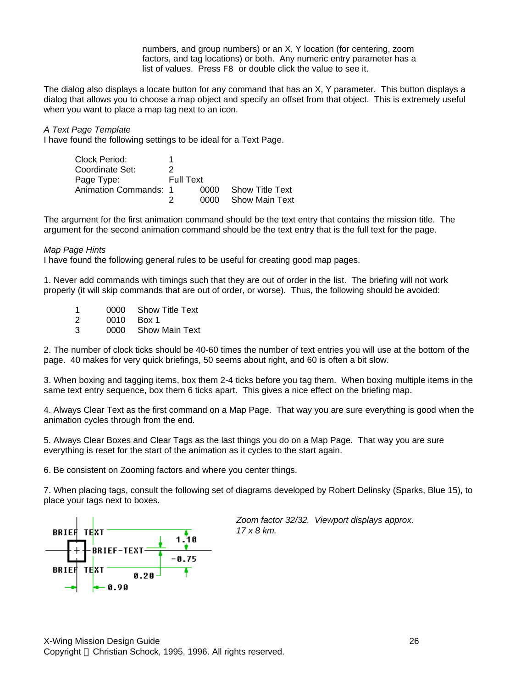numbers, and group numbers) or an X, Y location (for centering, zoom factors, and tag locations) or both. Any numeric entry parameter has a list of values. Press F8 or double click the value to see it.

The dialog also displays a locate button for any command that has an X, Y parameter. This button displays a dialog that allows you to choose a map object and specify an offset from that object. This is extremely useful when you want to place a map tag next to an icon.

*A Text Page Template*

I have found the following settings to be ideal for a Text Page.

Clock Period: 1 Coordinate Set: 2 Page Type: Full Text Animation Commands: 1 0000 Show Title Text 2 0000 Show Main Text

The argument for the first animation command should be the text entry that contains the mission title. The argument for the second animation command should be the text entry that is the full text for the page.

#### *Map Page Hints*

I have found the following general rules to be useful for creating good map pages.

1. Never add commands with timings such that they are out of order in the list. The briefing will not work properly (it will skip commands that are out of order, or worse). Thus, the following should be avoided:

1 0000 Show Title Text<br>2 0010 Box 1 2 0010 Box 1<br>3 0000 Show 0000 Show Main Text

2. The number of clock ticks should be 40-60 times the number of text entries you will use at the bottom of the page. 40 makes for very quick briefings, 50 seems about right, and 60 is often a bit slow.

3. When boxing and tagging items, box them 2-4 ticks before you tag them. When boxing multiple items in the same text entry sequence, box them 6 ticks apart. This gives a nice effect on the briefing map.

4. Always Clear Text as the first command on a Map Page. That way you are sure everything is good when the animation cycles through from the end.

5. Always Clear Boxes and Clear Tags as the last things you do on a Map Page. That way you are sure everything is reset for the start of the animation as it cycles to the start again.

6. Be consistent on Zooming factors and where you center things.

7. When placing tags, consult the following set of diagrams developed by Robert Delinsky (Sparks, Blue 15), to place your tags next to boxes.



*Zoom factor 32/32. Viewport displays approx. 17 x 8 km.*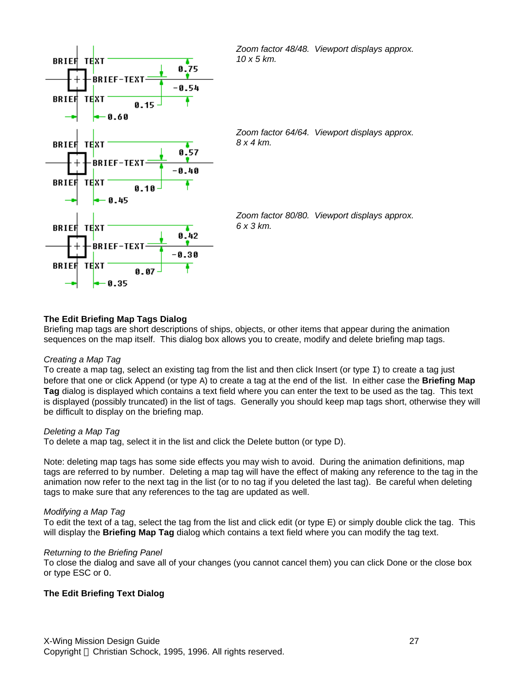

#### **The Edit Briefing Map Tags Dialog**

Briefing map tags are short descriptions of ships, objects, or other items that appear during the animation sequences on the map itself. This dialog box allows you to create, modify and delete briefing map tags.

#### *Creating a Map Tag*

To create a map tag, select an existing tag from the list and then click Insert (or type  $I$ ) to create a tag just before that one or click Append (or type A) to create a tag at the end of the list. In either case the **Briefing Map Tag** dialog is displayed which contains a text field where you can enter the text to be used as the tag. This text is displayed (possibly truncated) in the list of tags. Generally you should keep map tags short, otherwise they will be difficult to display on the briefing map.

#### *Deleting a Map Tag*

To delete a map tag, select it in the list and click the Delete button (or type D).

Note: deleting map tags has some side effects you may wish to avoid. During the animation definitions, map tags are referred to by number. Deleting a map tag will have the effect of making any reference to the tag in the animation now refer to the next tag in the list (or to no tag if you deleted the last tag). Be careful when deleting tags to make sure that any references to the tag are updated as well.

#### *Modifying a Map Tag*

To edit the text of a tag, select the tag from the list and click edit (or type E) or simply double click the tag. This will display the **Briefing Map Tag** dialog which contains a text field where you can modify the tag text.

#### *Returning to the Briefing Panel*

To close the dialog and save all of your changes (you cannot cancel them) you can click Done or the close box or type ESC or O.

#### **The Edit Briefing Text Dialog**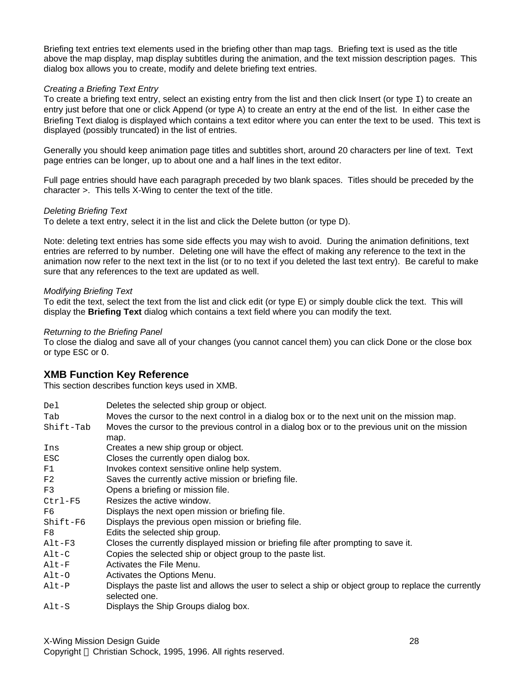Briefing text entries text elements used in the briefing other than map tags. Briefing text is used as the title above the map display, map display subtitles during the animation, and the text mission description pages. This dialog box allows you to create, modify and delete briefing text entries.

#### *Creating a Briefing Text Entry*

To create a briefing text entry, select an existing entry from the list and then click Insert (or type  $I$ ) to create an entry just before that one or click Append (or type A) to create an entry at the end of the list. In either case the Briefing Text dialog is displayed which contains a text editor where you can enter the text to be used. This text is displayed (possibly truncated) in the list of entries.

Generally you should keep animation page titles and subtitles short, around 20 characters per line of text. Text page entries can be longer, up to about one and a half lines in the text editor.

Full page entries should have each paragraph preceded by two blank spaces. Titles should be preceded by the character >. This tells X-Wing to center the text of the title.

#### *Deleting Briefing Text*

To delete a text entry, select it in the list and click the Delete button (or type D).

Note: deleting text entries has some side effects you may wish to avoid. During the animation definitions, text entries are referred to by number. Deleting one will have the effect of making any reference to the text in the animation now refer to the next text in the list (or to no text if you deleted the last text entry). Be careful to make sure that any references to the text are updated as well.

#### *Modifying Briefing Text*

To edit the text, select the text from the list and click edit (or type E) or simply double click the text. This will display the **Briefing Text** dialog which contains a text field where you can modify the text.

#### *Returning to the Briefing Panel*

To close the dialog and save all of your changes (you cannot cancel them) you can click Done or the close box or type ESC or O.

### **XMB Function Key Reference**

This section describes function keys used in XMB.

| Del                   | Deletes the selected ship group or object.                                                                             |
|-----------------------|------------------------------------------------------------------------------------------------------------------------|
| Tab                   | Moves the cursor to the next control in a dialog box or to the next unit on the mission map.                           |
| Shift-Tab             | Moves the cursor to the previous control in a dialog box or to the previous unit on the mission                        |
|                       | map.                                                                                                                   |
| Ins                   | Creates a new ship group or object.                                                                                    |
| ESC                   | Closes the currently open dialog box.                                                                                  |
| F1                    | Invokes context sensitive online help system.                                                                          |
| F2                    | Saves the currently active mission or briefing file.                                                                   |
| F3                    | Opens a briefing or mission file.                                                                                      |
| $Ctrl-F5$             | Resizes the active window.                                                                                             |
| F6                    | Displays the next open mission or briefing file.                                                                       |
| $Shift-F6$            | Displays the previous open mission or briefing file.                                                                   |
| F8                    | Edits the selected ship group.                                                                                         |
| $Alt-F3$              | Closes the currently displayed mission or briefing file after prompting to save it.                                    |
| $\text{Alt}-\text{C}$ | Copies the selected ship or object group to the paste list.                                                            |
| $\texttt{Alt-F}$      | Activates the File Menu.                                                                                               |
| $Alt-O$               | Activates the Options Menu.                                                                                            |
| $Alt-P$               | Displays the paste list and allows the user to select a ship or object group to replace the currently<br>selected one. |
| $Alt-S$               | Displays the Ship Groups dialog box.                                                                                   |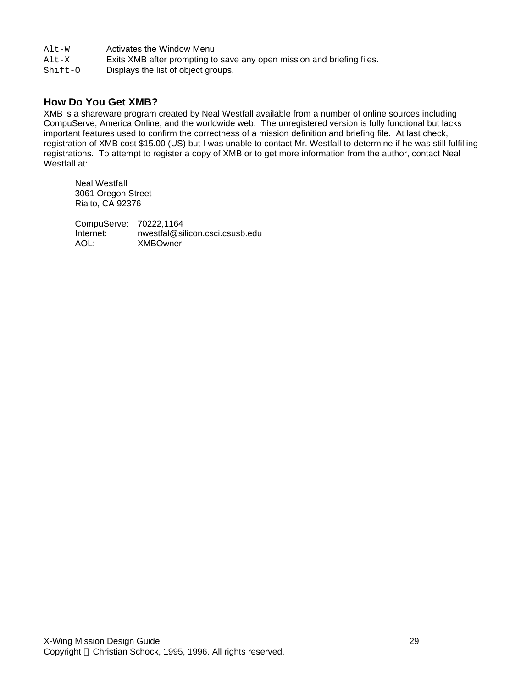- Alt-W Activates the Window Menu.
- Alt-X Exits XMB after prompting to save any open mission and briefing files.

Shift-O Displays the list of object groups.

### **How Do You Get XMB?**

XMB is a shareware program created by Neal Westfall available from a number of online sources including CompuServe, America Online, and the worldwide web. The unregistered version is fully functional but lacks important features used to confirm the correctness of a mission definition and briefing file. At last check, registration of XMB cost \$15.00 (US) but I was unable to contact Mr. Westfall to determine if he was still fulfilling registrations. To attempt to register a copy of XMB or to get more information from the author, contact Neal Westfall at:

Neal Westfall 3061 Oregon Street Rialto, CA 92376

CompuServe: 70222,1164<br>Internet: nwestfal@si nwestfal@silicon.csci.csusb.edu AOL: XMBOwner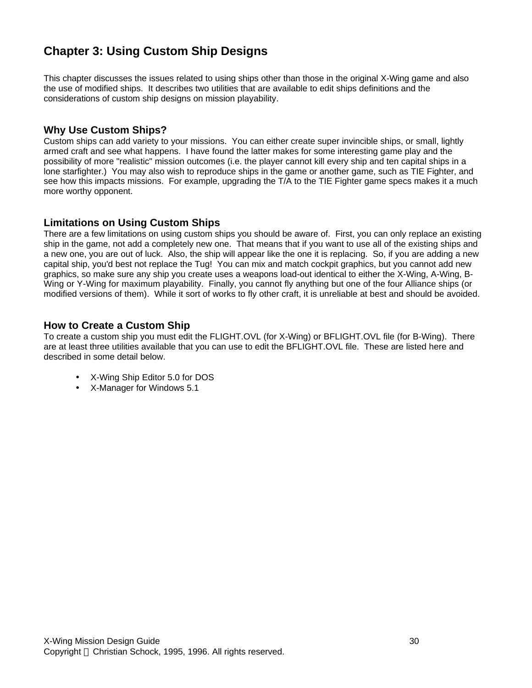# **Chapter 3: Using Custom Ship Designs**

This chapter discusses the issues related to using ships other than those in the original X-Wing game and also the use of modified ships. It describes two utilities that are available to edit ships definitions and the considerations of custom ship designs on mission playability.

## **Why Use Custom Ships?**

Custom ships can add variety to your missions. You can either create super invincible ships, or small, lightly armed craft and see what happens. I have found the latter makes for some interesting game play and the possibility of more "realistic" mission outcomes (i.e. the player cannot kill every ship and ten capital ships in a lone starfighter.) You may also wish to reproduce ships in the game or another game, such as TIE Fighter, and see how this impacts missions. For example, upgrading the T/A to the TIE Fighter game specs makes it a much more worthy opponent.

# **Limitations on Using Custom Ships**

There are a few limitations on using custom ships you should be aware of. First, you can only replace an existing ship in the game, not add a completely new one. That means that if you want to use all of the existing ships and a new one, you are out of luck. Also, the ship will appear like the one it is replacing. So, if you are adding a new capital ship, you'd best not replace the Tug! You can mix and match cockpit graphics, but you cannot add new graphics, so make sure any ship you create uses a weapons load-out identical to either the X-Wing, A-Wing, B-Wing or Y-Wing for maximum playability. Finally, you cannot fly anything but one of the four Alliance ships (or modified versions of them). While it sort of works to fly other craft, it is unreliable at best and should be avoided.

# **How to Create a Custom Ship**

To create a custom ship you must edit the FLIGHT.OVL (for X-Wing) or BFLIGHT.OVL file (for B-Wing). There are at least three utilities available that you can use to edit the BFLIGHT.OVL file. These are listed here and described in some detail below.

- X-Wing Ship Editor 5.0 for DOS
- X-Manager for Windows 5.1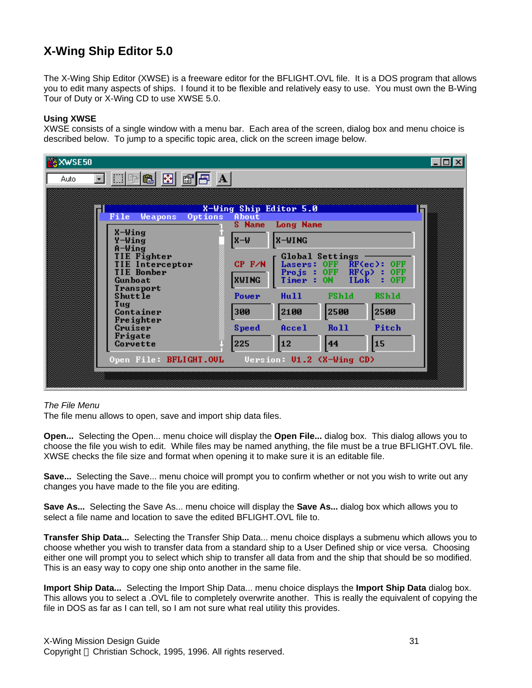# **X-Wing Ship Editor 5.0**

The X-Wing Ship Editor (XWSE) is a freeware editor for the BFLIGHT.OVL file. It is a DOS program that allows you to edit many aspects of ships. I found it to be flexible and relatively easy to use. You must own the B-Wing Tour of Duty or X-Wing CD to use XWSE 5.0.

#### **Using XWSE**

XWSE consists of a single window with a menu bar. Each area of the screen, dialog box and menu choice is described below. To jump to a specific topic area, click on the screen image below.

| LG XWSE50                                                                                             | $\Box$ o $\mathsf{X}$                                                                                                                                                         |  |
|-------------------------------------------------------------------------------------------------------|-------------------------------------------------------------------------------------------------------------------------------------------------------------------------------|--|
| $\mathbb{E}[\mathbf{H}[\mathbf{B}]\mathbf{B}]\mathbf{F}[\mathbf{B}]\mathbf{A}]$<br>Auto               |                                                                                                                                                                               |  |
| File<br><b>Weapons</b>                                                                                | X-Wing Ship Editor 5.0<br>Options<br>About<br><b>Long Name</b><br><b>S</b> Name                                                                                               |  |
| X-Wing<br>Y-Wing<br>$A-Wing$<br>TIE Fighter<br><b>TIE Interceptor</b><br><b>TIE Bomber</b><br>Gunboat | <b>X-WING</b><br>W-X<br>Global Settings<br>$CP$ $F/N$<br>Lasers: OFF<br>$RF(ec):$ OFF<br><b>Projs: OFF RF(p): OFF</b><br><b>XWING</b><br>Timer : ON<br><b>ILok</b><br>$:$ OFF |  |
| Transport<br>Shuttle<br>Tug<br>Container<br>Freighter<br>Cruiser<br>Frigate                           | Power<br>Hull<br><b>FShld</b><br><b>RShld</b><br>2500<br>2500<br>2100<br>300<br><b>Ro 11</b><br>Pitch<br>Accel<br><b>Speed</b>                                                |  |
| Corvette                                                                                              | 15<br>225<br>12<br>44                                                                                                                                                         |  |

#### *The File Menu*

The file menu allows to open, save and import ship data files.

**Open...** Selecting the Open... menu choice will display the **Open File...** dialog box. This dialog allows you to choose the file you wish to edit. While files may be named anything, the file must be a true BFLIGHT.OVL file. XWSE checks the file size and format when opening it to make sure it is an editable file.

**Save...** Selecting the Save... menu choice will prompt you to confirm whether or not you wish to write out any changes you have made to the file you are editing.

**Save As...** Selecting the Save As... menu choice will display the **Save As...** dialog box which allows you to select a file name and location to save the edited BFLIGHT.OVL file to.

**Transfer Ship Data...** Selecting the Transfer Ship Data... menu choice displays a submenu which allows you to choose whether you wish to transfer data from a standard ship to a User Defined ship or vice versa. Choosing either one will prompt you to select which ship to transfer all data from and the ship that should be so modified. This is an easy way to copy one ship onto another in the same file.

**Import Ship Data...** Selecting the Import Ship Data... menu choice displays the **Import Ship Data** dialog box. This allows you to select a .OVL file to completely overwrite another. This is really the equivalent of copying the file in DOS as far as I can tell, so I am not sure what real utility this provides.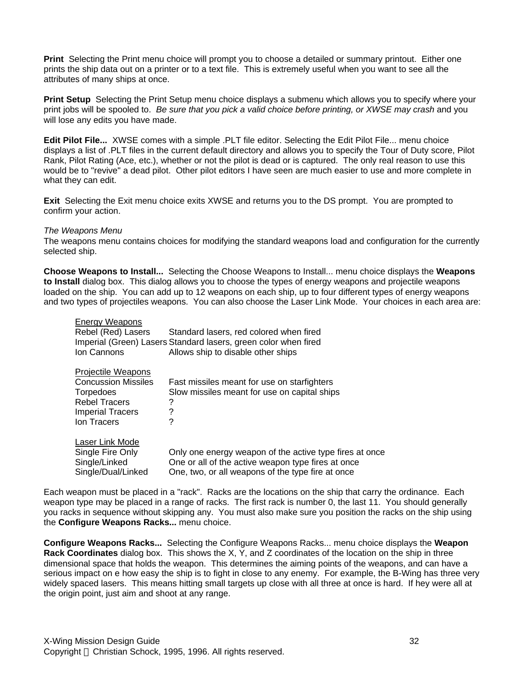**Print** Selecting the Print menu choice will prompt you to choose a detailed or summary printout. Either one prints the ship data out on a printer or to a text file. This is extremely useful when you want to see all the attributes of many ships at once.

**Print Setup** Selecting the Print Setup menu choice displays a submenu which allows you to specify where your print jobs will be spooled to. *Be sure that you pick a valid choice before printing, or XWSE may crash* and you will lose any edits you have made.

**Edit Pilot File...** XWSE comes with a simple .PLT file editor. Selecting the Edit Pilot File... menu choice displays a list of .PLT files in the current default directory and allows you to specify the Tour of Duty score, Pilot Rank, Pilot Rating (Ace, etc.), whether or not the pilot is dead or is captured. The only real reason to use this would be to "revive" a dead pilot. Other pilot editors I have seen are much easier to use and more complete in what they can edit.

**Exit** Selecting the Exit menu choice exits XWSE and returns you to the DS prompt. You are prompted to confirm your action.

#### *The Weapons Menu*

The weapons menu contains choices for modifying the standard weapons load and configuration for the currently selected ship.

**Choose Weapons to Install...** Selecting the Choose Weapons to Install... menu choice displays the **Weapons to Install** dialog box. This dialog allows you to choose the types of energy weapons and projectile weapons loaded on the ship. You can add up to 12 weapons on each ship, up to four different types of energy weapons and two types of projectiles weapons. You can also choose the Laser Link Mode. Your choices in each area are:

| <b>Energy Weapons</b>      |                                                                 |
|----------------------------|-----------------------------------------------------------------|
| Rebel (Red) Lasers         | Standard lasers, red colored when fired                         |
|                            | Imperial (Green) Lasers Standard lasers, green color when fired |
| Ion Cannons                | Allows ship to disable other ships                              |
| <b>Projectile Weapons</b>  |                                                                 |
| <b>Concussion Missiles</b> | Fast missiles meant for use on starfighters                     |
| Torpedoes                  | Slow missiles meant for use on capital ships                    |
| <b>Rebel Tracers</b>       | ?                                                               |
| <b>Imperial Tracers</b>    | ?                                                               |
| Ion Tracers                | ?                                                               |
| Laser Link Mode            |                                                                 |
| Single Fire Only           | Only one energy weapon of the active type fires at once         |
| Single/Linked              | One or all of the active weapon type fires at once              |
| Single/Dual/Linked         | One, two, or all weapons of the type fire at once               |

Each weapon must be placed in a "rack". Racks are the locations on the ship that carry the ordinance. Each weapon type may be placed in a range of racks. The first rack is number 0, the last 11. You should generally you racks in sequence without skipping any. You must also make sure you position the racks on the ship using the **Configure Weapons Racks...** menu choice.

**Configure Weapons Racks...** Selecting the Configure Weapons Racks... menu choice displays the **Weapon Rack Coordinates** dialog box. This shows the X, Y, and Z coordinates of the location on the ship in three dimensional space that holds the weapon. This determines the aiming points of the weapons, and can have a serious impact on e how easy the ship is to fight in close to any enemy. For example, the B-Wing has three very widely spaced lasers. This means hitting small targets up close with all three at once is hard. If hey were all at the origin point, just aim and shoot at any range.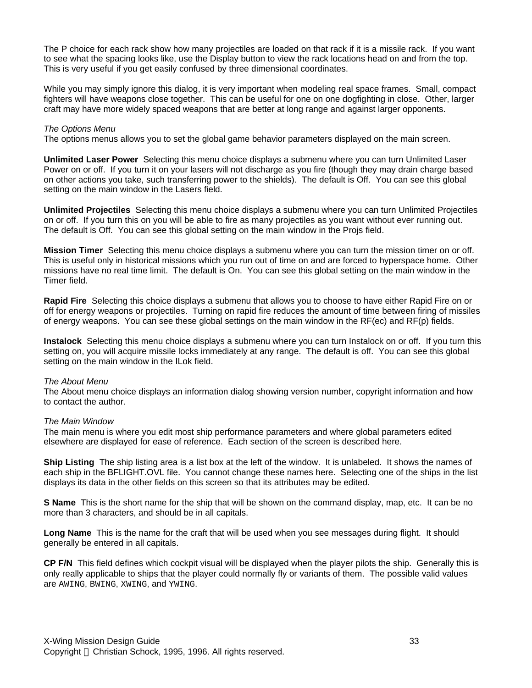The P choice for each rack show how many projectiles are loaded on that rack if it is a missile rack. If you want to see what the spacing looks like, use the Display button to view the rack locations head on and from the top. This is very useful if you get easily confused by three dimensional coordinates.

While you may simply ignore this dialog, it is very important when modeling real space frames. Small, compact fighters will have weapons close together. This can be useful for one on one dogfighting in close. Other, larger craft may have more widely spaced weapons that are better at long range and against larger opponents.

#### *The Options Menu*

The options menus allows you to set the global game behavior parameters displayed on the main screen.

**Unlimited Laser Power** Selecting this menu choice displays a submenu where you can turn Unlimited Laser Power on or off. If you turn it on your lasers will not discharge as you fire (though they may drain charge based on other actions you take, such transferring power to the shields). The default is Off. You can see this global setting on the main window in the Lasers field.

**Unlimited Projectiles** Selecting this menu choice displays a submenu where you can turn Unlimited Projectiles on or off. If you turn this on you will be able to fire as many projectiles as you want without ever running out. The default is Off. You can see this global setting on the main window in the Projs field.

**Mission Timer** Selecting this menu choice displays a submenu where you can turn the mission timer on or off. This is useful only in historical missions which you run out of time on and are forced to hyperspace home. Other missions have no real time limit. The default is On. You can see this global setting on the main window in the Timer field.

**Rapid Fire** Selecting this choice displays a submenu that allows you to choose to have either Rapid Fire on or off for energy weapons or projectiles. Turning on rapid fire reduces the amount of time between firing of missiles of energy weapons. You can see these global settings on the main window in the RF(ec) and RF(p) fields.

**Instalock** Selecting this menu choice displays a submenu where you can turn Instalock on or off. If you turn this setting on, you will acquire missile locks immediately at any range. The default is off. You can see this global setting on the main window in the ILok field.

#### *The About Menu*

The About menu choice displays an information dialog showing version number, copyright information and how to contact the author.

#### *The Main Window*

The main menu is where you edit most ship performance parameters and where global parameters edited elsewhere are displayed for ease of reference. Each section of the screen is described here.

**Ship Listing** The ship listing area is a list box at the left of the window. It is unlabeled. It shows the names of each ship in the BFLIGHT.OVL file. You cannot change these names here. Selecting one of the ships in the list displays its data in the other fields on this screen so that its attributes may be edited.

**S Name** This is the short name for the ship that will be shown on the command display, map, etc. It can be no more than 3 characters, and should be in all capitals.

**Long Name** This is the name for the craft that will be used when you see messages during flight. It should generally be entered in all capitals.

**CP F/N** This field defines which cockpit visual will be displayed when the player pilots the ship. Generally this is only really applicable to ships that the player could normally fly or variants of them. The possible valid values are AWING, BWING, XWING, and YWING.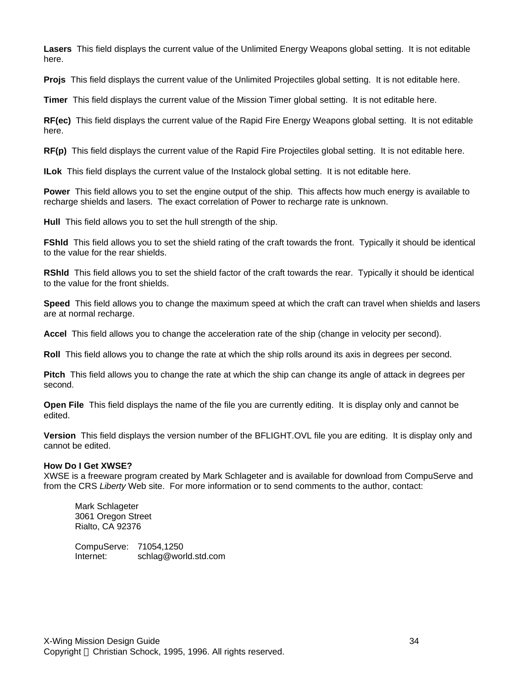**Lasers** This field displays the current value of the Unlimited Energy Weapons global setting. It is not editable here.

**Projs** This field displays the current value of the Unlimited Projectiles global setting. It is not editable here.

**Timer** This field displays the current value of the Mission Timer global setting. It is not editable here.

**RF(ec)** This field displays the current value of the Rapid Fire Energy Weapons global setting. It is not editable here.

**RF(p)** This field displays the current value of the Rapid Fire Projectiles global setting. It is not editable here.

**ILok** This field displays the current value of the Instalock global setting. It is not editable here.

**Power** This field allows you to set the engine output of the ship. This affects how much energy is available to recharge shields and lasers. The exact correlation of Power to recharge rate is unknown.

**Hull** This field allows you to set the hull strength of the ship.

**FShid** This field allows you to set the shield rating of the craft towards the front. Typically it should be identical to the value for the rear shields.

**RShld** This field allows you to set the shield factor of the craft towards the rear. Typically it should be identical to the value for the front shields.

**Speed** This field allows you to change the maximum speed at which the craft can travel when shields and lasers are at normal recharge.

**Accel** This field allows you to change the acceleration rate of the ship (change in velocity per second).

**Roll** This field allows you to change the rate at which the ship rolls around its axis in degrees per second.

**Pitch** This field allows you to change the rate at which the ship can change its angle of attack in degrees per second.

**Open File** This field displays the name of the file you are currently editing. It is display only and cannot be edited.

**Version** This field displays the version number of the BFLIGHT.OVL file you are editing. It is display only and cannot be edited.

#### **How Do I Get XWSE?**

XWSE is a freeware program created by Mark Schlageter and is available for download from CompuServe and from the CRS *Liberty* Web site. For more information or to send comments to the author, contact:

Mark Schlageter 3061 Oregon Street Rialto, CA 92376

CompuServe: 71054,1250 Internet: schlag@world.std.com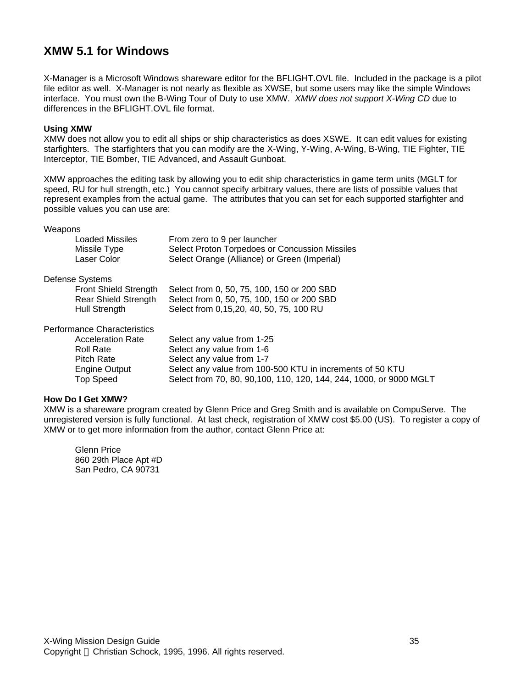# **XMW 5.1 for Windows**

X-Manager is a Microsoft Windows shareware editor for the BFLIGHT.OVL file. Included in the package is a pilot file editor as well. X-Manager is not nearly as flexible as XWSE, but some users may like the simple Windows interface. You must own the B-Wing Tour of Duty to use XMW. *XMW does not support X-Wing CD* due to differences in the BFLIGHT.OVL file format.

#### **Using XMW**

XMW does not allow you to edit all ships or ship characteristics as does XSWE. It can edit values for existing starfighters. The starfighters that you can modify are the X-Wing, Y-Wing, A-Wing, B-Wing, TIE Fighter, TIE Interceptor, TIE Bomber, TIE Advanced, and Assault Gunboat.

XMW approaches the editing task by allowing you to edit ship characteristics in game term units (MGLT for speed, RU for hull strength, etc.) You cannot specify arbitrary values, there are lists of possible values that represent examples from the actual game. The attributes that you can set for each supported starfighter and possible values you can use are:

Weapons

| Loaded Missiles | From zero to 9 per launcher                    |
|-----------------|------------------------------------------------|
| Missile Type    | Select Proton Torpedoes or Concussion Missiles |
| Laser Color     | Select Orange (Alliance) or Green (Imperial)   |

Defense Systems

| <b>Front Shield Strength</b> | Select from 0, 50, 75, 100, 150 or 200 SBD |
|------------------------------|--------------------------------------------|
| Rear Shield Strength         | Select from 0, 50, 75, 100, 150 or 200 SBD |
| Hull Strength                | Select from 0,15,20, 40, 50, 75, 100 RU    |

Performance Characteristics

| <b>Acceleration Rate</b> | Select any value from 1-25                                          |
|--------------------------|---------------------------------------------------------------------|
| <b>Roll Rate</b>         | Select any value from 1-6                                           |
| Pitch Rate               | Select any value from 1-7                                           |
| Engine Output            | Select any value from 100-500 KTU in increments of 50 KTU           |
| Top Speed                | Select from 70, 80, 90, 100, 110, 120, 144, 244, 1000, or 9000 MGLT |
|                          |                                                                     |

#### **How Do I Get XMW?**

XMW is a shareware program created by Glenn Price and Greg Smith and is available on CompuServe. The unregistered version is fully functional. At last check, registration of XMW cost \$5.00 (US). To register a copy of XMW or to get more information from the author, contact Glenn Price at:

Glenn Price 860 29th Place Apt #D San Pedro, CA 90731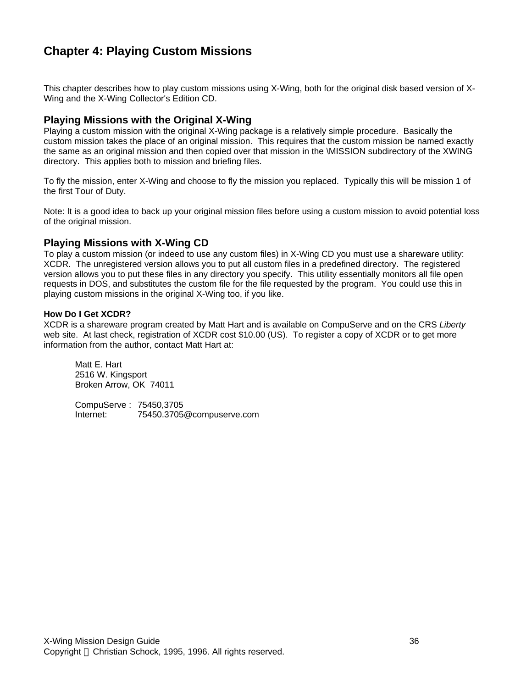# **Chapter 4: Playing Custom Missions**

This chapter describes how to play custom missions using X-Wing, both for the original disk based version of X-Wing and the X-Wing Collector's Edition CD.

### **Playing Missions with the Original X-Wing**

Playing a custom mission with the original X-Wing package is a relatively simple procedure. Basically the custom mission takes the place of an original mission. This requires that the custom mission be named exactly the same as an original mission and then copied over that mission in the \MISSION subdirectory of the XWING directory. This applies both to mission and briefing files.

To fly the mission, enter X-Wing and choose to fly the mission you replaced. Typically this will be mission 1 of the first Tour of Duty.

Note: It is a good idea to back up your original mission files before using a custom mission to avoid potential loss of the original mission.

### **Playing Missions with X-Wing CD**

To play a custom mission (or indeed to use any custom files) in X-Wing CD you must use a shareware utility: XCDR. The unregistered version allows you to put all custom files in a predefined directory. The registered version allows you to put these files in any directory you specify. This utility essentially monitors all file open requests in DOS, and substitutes the custom file for the file requested by the program. You could use this in playing custom missions in the original X-Wing too, if you like.

#### **How Do I Get XCDR?**

XCDR is a shareware program created by Matt Hart and is available on CompuServe and on the CRS *Liberty* web site. At last check, registration of XCDR cost \$10.00 (US). To register a copy of XCDR or to get more information from the author, contact Matt Hart at:

Matt E. Hart 2516 W. Kingsport Broken Arrow, OK 74011

CompuServe : 75450,3705 Internet: 75450.3705@compuserve.com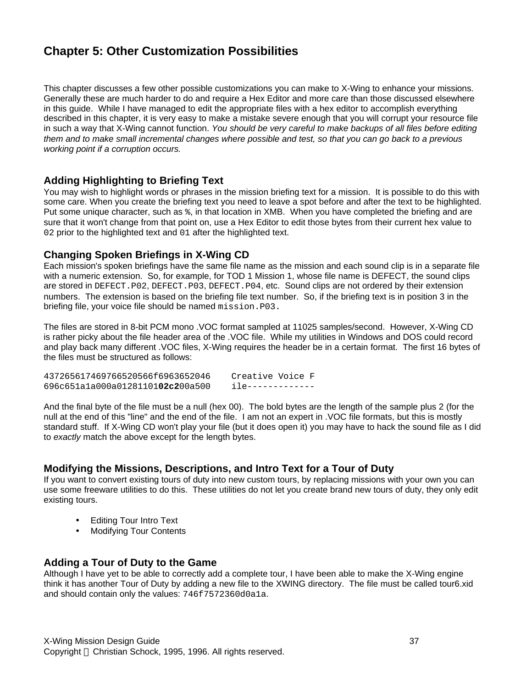# **Chapter 5: Other Customization Possibilities**

This chapter discusses a few other possible customizations you can make to X-Wing to enhance your missions. Generally these are much harder to do and require a Hex Editor and more care than those discussed elsewhere in this guide. While I have managed to edit the appropriate files with a hex editor to accomplish everything described in this chapter, it is very easy to make a mistake severe enough that you will corrupt your resource file in such a way that X-Wing cannot function. *You should be very careful to make backups of all files before editing them and to make small incremental changes where possible and test, so that you can go back to a previous working point if a corruption occurs.*

# **Adding Highlighting to Briefing Text**

You may wish to highlight words or phrases in the mission briefing text for a mission. It is possible to do this with some care. When you create the briefing text you need to leave a spot before and after the text to be highlighted. Put some unique character, such as %, in that location in XMB. When you have completed the briefing and are sure that it won't change from that point on, use a Hex Editor to edit those bytes from their current hex value to 02 prior to the highlighted text and 01 after the highlighted text.

# **Changing Spoken Briefings in X-Wing CD**

Each mission's spoken briefings have the same file name as the mission and each sound clip is in a separate file with a numeric extension. So, for example, for TOD 1 Mission 1, whose file name is DEFECT, the sound clips are stored in DEFECT.P02, DEFECT.P03, DEFECT.P04, etc. Sound clips are not ordered by their extension numbers. The extension is based on the briefing file text number. So, if the briefing text is in position 3 in the briefing file, your voice file should be named mission.P03.

The files are stored in 8-bit PCM mono .VOC format sampled at 11025 samples/second. However, X-Wing CD is rather picky about the file header area of the .VOC file. While my utilities in Windows and DOS could record and play back many different .VOC files, X-Wing requires the header be in a certain format. The first 16 bytes of the files must be structured as follows:

437265617469766520566f6963652046 Creative Voice F 696c651a1a000a01281101**02c2**00a500 ile-------------

And the final byte of the file must be a null (hex 00). The bold bytes are the length of the sample plus 2 (for the null at the end of this "line" and the end of the file. I am not an expert in .VOC file formats, but this is mostly standard stuff. If X-Wing CD won't play your file (but it does open it) you may have to hack the sound file as I did to *exactly* match the above except for the length bytes.

# **Modifying the Missions, Descriptions, and Intro Text for a Tour of Duty**

If you want to convert existing tours of duty into new custom tours, by replacing missions with your own you can use some freeware utilities to do this. These utilities do not let you create brand new tours of duty, they only edit existing tours.

- Editing Tour Intro Text
- **Modifying Tour Contents**

### **Adding a Tour of Duty to the Game**

Although I have yet to be able to correctly add a complete tour, I have been able to make the X-Wing engine think it has another Tour of Duty by adding a new file to the XWING directory. The file must be called tour6.xid and should contain only the values: 746f7572360d0a1a.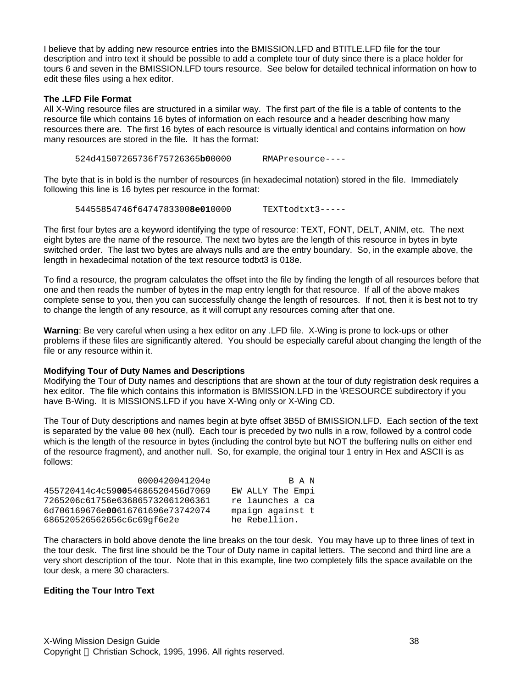I believe that by adding new resource entries into the BMISSION.LFD and BTITLE.LFD file for the tour description and intro text it should be possible to add a complete tour of duty since there is a place holder for tours 6 and seven in the BMISSION.LFD tours resource. See below for detailed technical information on how to edit these files using a hex editor.

#### **The .LFD File Format**

All X-Wing resource files are structured in a similar way. The first part of the file is a table of contents to the resource file which contains 16 bytes of information on each resource and a header describing how many resources there are. The first 16 bytes of each resource is virtually identical and contains information on how many resources are stored in the file. It has the format:

524d41507265736f75726365**b0**0000 RMAPresource----

The byte that is in bold is the number of resources (in hexadecimal notation) stored in the file. Immediately following this line is 16 bytes per resource in the format:

54455854746f6474783300**8e01**0000 TEXTtodtxt3-----

The first four bytes are a keyword identifying the type of resource: TEXT, FONT, DELT, ANIM, etc. The next eight bytes are the name of the resource. The next two bytes are the length of this resource in bytes in byte switched order. The last two bytes are always nulls and are the entry boundary. So, in the example above, the length in hexadecimal notation of the text resource todtxt3 is 018e.

To find a resource, the program calculates the offset into the file by finding the length of all resources before that one and then reads the number of bytes in the map entry length for that resource. If all of the above makes complete sense to you, then you can successfully change the length of resources. If not, then it is best not to try to change the length of any resource, as it will corrupt any resources coming after that one.

**Warning**: Be very careful when using a hex editor on any .LFD file. X-Wing is prone to lock-ups or other problems if these files are significantly altered. You should be especially careful about changing the length of the file or any resource within it.

#### **Modifying Tour of Duty Names and Descriptions**

Modifying the Tour of Duty names and descriptions that are shown at the tour of duty registration desk requires a hex editor. The file which contains this information is BMISSION.LFD in the \RESOURCE subdirectory if you have B-Wing. It is MISSIONS.LFD if you have X-Wing only or X-Wing CD.

The Tour of Duty descriptions and names begin at byte offset 3B5D of BMISSION.LFD. Each section of the text is separated by the value 00 hex (null). Each tour is preceded by two nulls in a row, followed by a control code which is the length of the resource in bytes (including the control byte but NOT the buffering nulls on either end of the resource fragment), and another null. So, for example, the original tour 1 entry in Hex and ASCII is as follows:

| 0000420041204e                   | R A N            |
|----------------------------------|------------------|
| 455720414c4c590054686520456d7069 | EW ALLY The Empi |
| 7265206c61756e636865732061206361 | re launches a ca |
| 6d706169676e00616761696e73742074 | mpaign against t |
| 686520526562656c6c69qf6e2e       | he Rebellion.    |

The characters in bold above denote the line breaks on the tour desk. You may have up to three lines of text in the tour desk. The first line should be the Tour of Duty name in capital letters. The second and third line are a very short description of the tour. Note that in this example, line two completely fills the space available on the tour desk, a mere 30 characters.

#### **Editing the Tour Intro Text**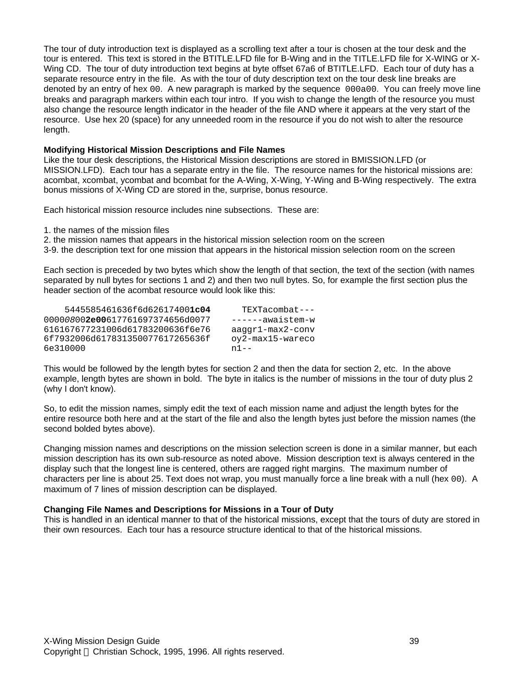The tour of duty introduction text is displayed as a scrolling text after a tour is chosen at the tour desk and the tour is entered. This text is stored in the BTITLE.LFD file for B-Wing and in the TITLE.LFD file for X-WING or X-Wing CD. The tour of duty introduction text begins at byte offset 67a6 of BTITLE.LFD. Each tour of duty has a separate resource entry in the file. As with the tour of duty description text on the tour desk line breaks are denoted by an entry of hex 00. A new paragraph is marked by the sequence 000a00. You can freely move line breaks and paragraph markers within each tour intro. If you wish to change the length of the resource you must also change the resource length indicator in the header of the file AND where it appears at the very start of the resource. Use hex 20 (space) for any unneeded room in the resource if you do not wish to alter the resource length.

#### **Modifying Historical Mission Descriptions and File Names**

Like the tour desk descriptions, the Historical Mission descriptions are stored in BMISSION.LFD (or MISSION.LFD). Each tour has a separate entry in the file. The resource names for the historical missions are: acombat, xcombat, ycombat and bcombat for the A-Wing, X-Wing, Y-Wing and B-Wing respectively. The extra bonus missions of X-Wing CD are stored in the, surprise, bonus resource.

Each historical mission resource includes nine subsections. These are:

1. the names of the mission files

2. the mission names that appears in the historical mission selection room on the screen

3-9. the description text for one mission that appears in the historical mission selection room on the screen

Each section is preceded by two bytes which show the length of that section, the text of the section (with names separated by null bytes for sections 1 and 2) and then two null bytes. So, for example the first section plus the header section of the acombat resource would look like this:

| 5445585461636f6d626174001c04     | $TEXTacombat---$            |
|----------------------------------|-----------------------------|
| 000008002e00617761697374656d0077 | ------awaistem-w            |
| 616167677231006d61783200636f6e76 | $a$ aqqr $1$ -max $2$ -conv |
| 6f7932006d617831350077617265636f | oy2-max15-wareco            |
| 6e310000                         | $n1 - -$                    |

This would be followed by the length bytes for section 2 and then the data for section 2, etc. In the above example, length bytes are shown in bold. The byte in italics is the number of missions in the tour of duty plus 2 (why I don't know).

So, to edit the mission names, simply edit the text of each mission name and adjust the length bytes for the entire resource both here and at the start of the file and also the length bytes just before the mission names (the second bolded bytes above).

Changing mission names and descriptions on the mission selection screen is done in a similar manner, but each mission description has its own sub-resource as noted above. Mission description text is always centered in the display such that the longest line is centered, others are ragged right margins. The maximum number of characters per line is about 25. Text does not wrap, you must manually force a line break with a null (hex 00). A maximum of 7 lines of mission description can be displayed.

#### **Changing File Names and Descriptions for Missions in a Tour of Duty**

This is handled in an identical manner to that of the historical missions, except that the tours of duty are stored in their own resources. Each tour has a resource structure identical to that of the historical missions.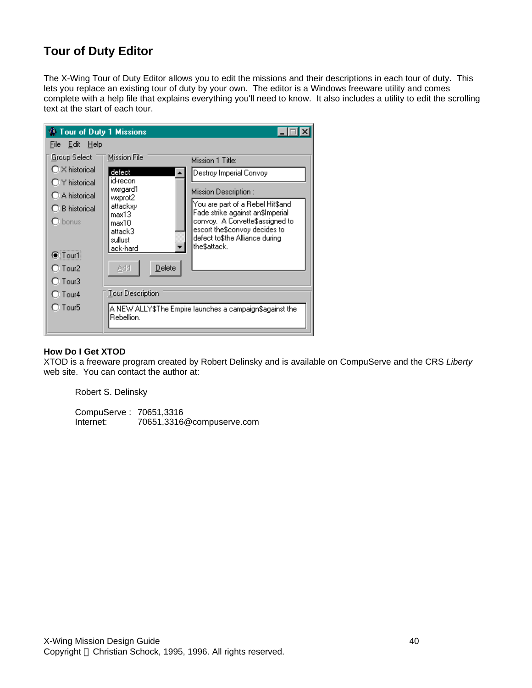# **Tour of Duty Editor**

The X-Wing Tour of Duty Editor allows you to edit the missions and their descriptions in each tour of duty. This lets you replace an existing tour of duty by your own. The editor is a Windows freeware utility and comes complete with a help file that explains everything you'll need to know. It also includes a utility to edit the scrolling text at the start of each tour.



#### **How Do I Get XTOD**

XTOD is a freeware program created by Robert Delinsky and is available on CompuServe and the CRS *Liberty* web site. You can contact the author at:

Robert S. Delinsky

CompuServe : 70651,3316 Internet: 70651,3316@compuserve.com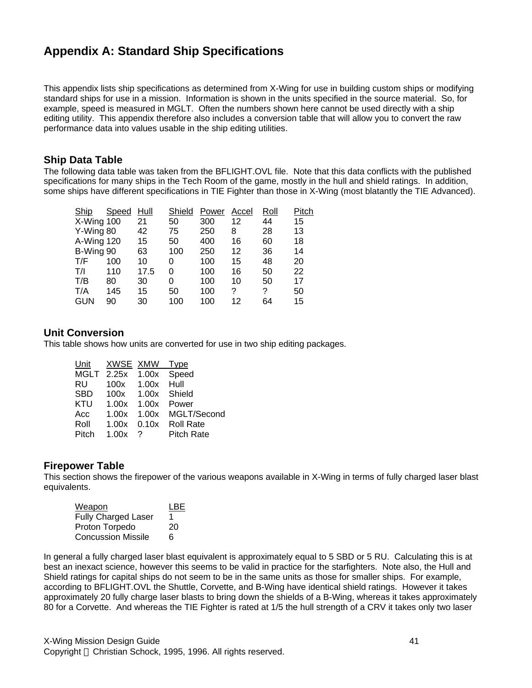# **Appendix A: Standard Ship Specifications**

This appendix lists ship specifications as determined from X-Wing for use in building custom ships or modifying standard ships for use in a mission. Information is shown in the units specified in the source material. So, for example, speed is measured in MGLT. Often the numbers shown here cannot be used directly with a ship editing utility. This appendix therefore also includes a conversion table that will allow you to convert the raw performance data into values usable in the ship editing utilities.

### **Ship Data Table**

The following data table was taken from the BFLIGHT.OVL file. Note that this data conflicts with the published specifications for many ships in the Tech Room of the game, mostly in the hull and shield ratings. In addition, some ships have different specifications in TIE Fighter than those in X-Wing (most blatantly the TIE Advanced).

| Ship       | <b>Speed</b> | Hull | Shield | Power | Accel | Roll | Pitch |
|------------|--------------|------|--------|-------|-------|------|-------|
| X-Wing 100 |              | 21   | 50     | 300   | 12    | 44   | 15    |
| Y-Wing 80  |              | 42   | 75     | 250   | 8     | 28   | 13    |
| A-Wing 120 |              | 15   | 50     | 400   | 16    | 60   | 18    |
| B-Wing 90  |              | 63   | 100    | 250   | 12    | 36   | 14    |
| T/F        | 100          | 10   | 0      | 100   | 15    | 48   | 20    |
| T/I        | 110          | 17.5 | 0      | 100   | 16    | 50   | 22    |
| T/B        | 80           | 30   | 0      | 100   | 10    | 50   | 17    |
| T/A        | 145          | 15   | 50     | 100   | ?     | ?    | 50    |
| <b>GUN</b> | 90           | 30   | 100    | 100   | 12    | 64   | 15    |

### **Unit Conversion**

This table shows how units are converted for use in two ship editing packages.

| Unit       | XWSE XMW               |             | Type              |
|------------|------------------------|-------------|-------------------|
|            | MGLT 2.25x 1.00x Speed |             |                   |
| RU         | 100x 1.00x             |             | Hull              |
| <b>SBD</b> |                        | 100x  1.00x | Shield            |
| KTU        | $1.00x$ $1.00x$        |             | Power             |
| Acc        | 1.00x                  | 1.00x       | MGLT/Second       |
| Roll       | 1.00x                  | 0.10x       | <b>Roll Rate</b>  |
| Pitch      | 1.00x                  | ?           | <b>Pitch Rate</b> |

### **Firepower Table**

This section shows the firepower of the various weapons available in X-Wing in terms of fully charged laser blast equivalents.

| Weapon                    | I BF |
|---------------------------|------|
| Fully Charged Laser       | 1    |
| Proton Torpedo            | 20   |
| <b>Concussion Missile</b> | 6    |

In general a fully charged laser blast equivalent is approximately equal to 5 SBD or 5 RU. Calculating this is at best an inexact science, however this seems to be valid in practice for the starfighters. Note also, the Hull and Shield ratings for capital ships do not seem to be in the same units as those for smaller ships. For example, according to BFLIGHT.OVL the Shuttle, Corvette, and B-Wing have identical shield ratings. However it takes approximately 20 fully charge laser blasts to bring down the shields of a B-Wing, whereas it takes approximately 80 for a Corvette. And whereas the TIE Fighter is rated at 1/5 the hull strength of a CRV it takes only two laser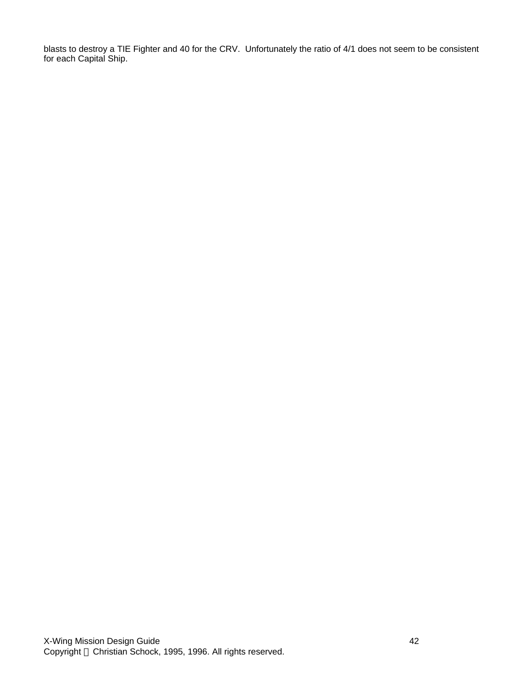blasts to destroy a TIE Fighter and 40 for the CRV. Unfortunately the ratio of 4/1 does not seem to be consistent for each Capital Ship.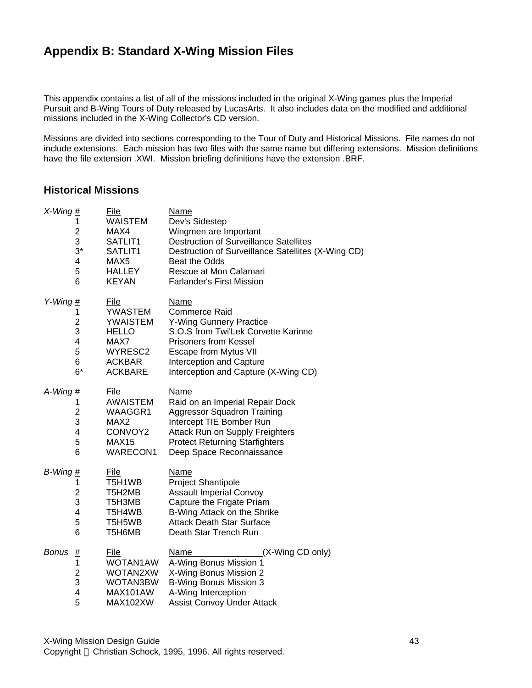# **Appendix B: Standard X-Wing Mission Files**

This appendix contains a list of all of the missions included in the original X-Wing games plus the Imperial Pursuit and B-Wing Tours of Duty released by LucasArts. It also includes data on the modified and additional missions included in the X-Wing Collector's CD version.

Missions are divided into sections corresponding to the Tour of Duty and Historical Missions. File names do not include extensions. Each mission has two files with the same name but differing extensions. Mission definitions have the file extension .XWI. Mission briefing definitions have the extension .BRF.

# **Historical Missions**

| $X-Wing \underline{\#}$                                        | <b>File</b>                                                             | <b>Name</b>                                                                                                                                                               |
|----------------------------------------------------------------|-------------------------------------------------------------------------|---------------------------------------------------------------------------------------------------------------------------------------------------------------------------|
| 1                                                              | <b>WAISTEM</b>                                                          | Dev's Sidestep                                                                                                                                                            |
| 2                                                              | MAX4                                                                    | Wingmen are Important                                                                                                                                                     |
| 3                                                              | SATLIT1                                                                 | <b>Destruction of Surveillance Satellites</b>                                                                                                                             |
| $3^*$                                                          | SATLIT1                                                                 | Destruction of Surveillance Satellites (X-Wing CD)                                                                                                                        |
| 4                                                              | MAX <sub>5</sub>                                                        | Beat the Odds                                                                                                                                                             |
| 5                                                              | <b>HALLEY</b>                                                           | Rescue at Mon Calamari                                                                                                                                                    |
| 6                                                              | <b>KEYAN</b>                                                            | <b>Farlander's First Mission</b>                                                                                                                                          |
| Y-Wing $#$                                                     | File                                                                    | Name                                                                                                                                                                      |
| 1                                                              | <b>YWASTEM</b>                                                          | <b>Commerce Raid</b>                                                                                                                                                      |
| $\overline{\mathbf{c}}$                                        | <b>YWAISTEM</b>                                                         | <b>Y-Wing Gunnery Practice</b>                                                                                                                                            |
| 3                                                              | <b>HELLO</b>                                                            | S.O.S from Twi'Lek Corvette Karinne                                                                                                                                       |
| $\overline{\mathbf{4}}$                                        | MAX7                                                                    | <b>Prisoners from Kessel</b>                                                                                                                                              |
| 5                                                              | WYRESC2                                                                 | <b>Escape from Mytus VII</b>                                                                                                                                              |
| 6                                                              | ACKBAR                                                                  | Interception and Capture                                                                                                                                                  |
| $6*$                                                           | <b>ACKBARE</b>                                                          | Interception and Capture (X-Wing CD)                                                                                                                                      |
| A-Wing $#_$                                                    | <b>File</b>                                                             | Name                                                                                                                                                                      |
| 1                                                              | <b>AWAISTEM</b>                                                         | Raid on an Imperial Repair Dock                                                                                                                                           |
| $\overline{c}$                                                 | WAAGGR1                                                                 | <b>Aggressor Squadron Training</b>                                                                                                                                        |
| 3                                                              | MAX <sub>2</sub>                                                        | Intercept TIE Bomber Run                                                                                                                                                  |
| 4                                                              | CONVOY2                                                                 | Attack Run on Supply Freighters                                                                                                                                           |
| 5                                                              | MAX15                                                                   | <b>Protect Returning Starfighters</b>                                                                                                                                     |
| 6                                                              | <b>WARECON1</b>                                                         | Deep Space Reconnaissance                                                                                                                                                 |
| $B$ -Wing $\frac{\textit{H}}{\textit{H}}$                      | <u>File</u>                                                             | <b>Name</b>                                                                                                                                                               |
| 1                                                              | T5H1WB                                                                  | <b>Project Shantipole</b>                                                                                                                                                 |
| $\overline{c}$                                                 | T5H2MB                                                                  | <b>Assault Imperial Convoy</b>                                                                                                                                            |
| 3                                                              | T5H3MB                                                                  | Capture the Frigate Priam                                                                                                                                                 |
| 4                                                              | T5H4WB                                                                  | B-Wing Attack on the Shrike                                                                                                                                               |
| 5                                                              | T5H5WB                                                                  | <b>Attack Death Star Surface</b>                                                                                                                                          |
| 6                                                              | T5H6MB                                                                  | Death Star Trench Run                                                                                                                                                     |
| <b>Bonus</b><br><u>#</u><br>1<br>$\overline{c}$<br>3<br>4<br>5 | <u>File</u><br>WOTAN1AW<br>WOTAN2XW<br>WOTAN3BW<br>MAX101AW<br>MAX102XW | <b>Name</b><br>(X-Wing CD only)<br>A-Wing Bonus Mission 1<br>X-Wing Bonus Mission 2<br><b>B-Wing Bonus Mission 3</b><br>A-Wing Interception<br>Assist Convoy Under Attack |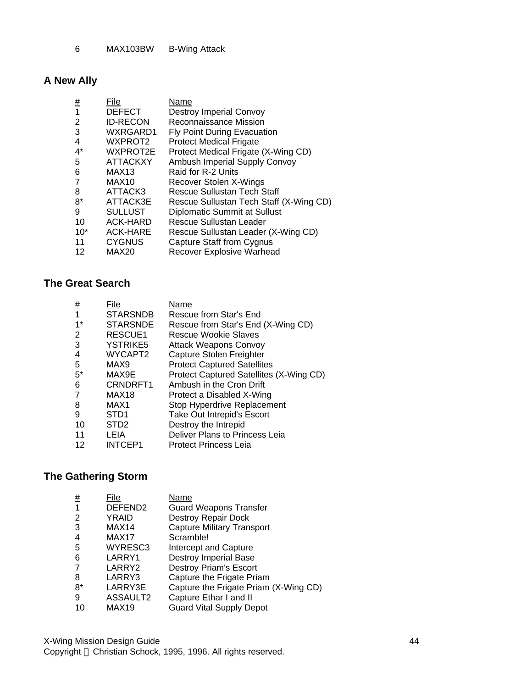MAX103BW B-Wing Attack

# **A New Ally**

| <u>#</u> | File              | Name                                    |
|----------|-------------------|-----------------------------------------|
| 1        | <b>DEFECT</b>     | <b>Destroy Imperial Convoy</b>          |
| 2        | <b>ID-RECON</b>   | Reconnaissance Mission                  |
| 3        | WXRGARD1          | <b>Fly Point During Evacuation</b>      |
| 4        | WXPROT2           | <b>Protect Medical Frigate</b>          |
| $4^*$    | WXPROT2E          | Protect Medical Frigate (X-Wing CD)     |
| 5        | <b>ATTACKXY</b>   | Ambush Imperial Supply Convoy           |
| 6        | MAX <sub>13</sub> | Raid for R-2 Units                      |
|          | MAX <sub>10</sub> | Recover Stolen X-Wings                  |
| 8        | ATTACK3           | Rescue Sullustan Tech Staff             |
| $8*$     | ATTACK3E          | Rescue Sullustan Tech Staff (X-Wing CD) |
| 9        | <b>SULLUST</b>    | <b>Diplomatic Summit at Sullust</b>     |
| 10       | <b>ACK-HARD</b>   | Rescue Sullustan Leader                 |
| $10*$    | <b>ACK-HARE</b>   | Rescue Sullustan Leader (X-Wing CD)     |
| 11       | <b>CYGNUS</b>     | Capture Staff from Cygnus               |
| 12       | MAX20             | <b>Recover Explosive Warhead</b>        |
|          |                   |                                         |

# **The Great Search**

| <u>#</u> | File              | Name                                    |
|----------|-------------------|-----------------------------------------|
|          | <b>STARSNDB</b>   | Rescue from Star's End                  |
| 1*       | <b>STARSNDE</b>   | Rescue from Star's End (X-Wing CD)      |
| 2        | RESCUE1           | Rescue Wookie Slaves                    |
| 3        | <b>YSTRIKE5</b>   | <b>Attack Weapons Convoy</b>            |
| 4        | WYCAPT2           | Capture Stolen Freighter                |
| 5        | MAX9              | <b>Protect Captured Satellites</b>      |
| $5^*$    | MAX9E             | Protect Captured Satellites (X-Wing CD) |
| 6        | CRNDRFT1          | Ambush in the Cron Drift                |
|          | MAX <sub>18</sub> | Protect a Disabled X-Wing               |
| 8        | MAX <sub>1</sub>  | Stop Hyperdrive Replacement             |
| 9        | STD <sub>1</sub>  | Take Out Intrepid's Escort              |
| 10       | STD <sub>2</sub>  | Destroy the Intrepid                    |
| 11       | LEIA              | Deliver Plans to Princess Leia          |
| 12       | <b>INTCEP1</b>    | <b>Protect Princess Leia</b>            |

# **The Gathering Storm**

| <u>#</u> | File                | Name                                  |
|----------|---------------------|---------------------------------------|
|          | DEFEND <sub>2</sub> | <b>Guard Weapons Transfer</b>         |
| 2        | YRAID               | Destroy Repair Dock                   |
| 3        | MAX14               | <b>Capture Military Transport</b>     |
| 4        | MAX17               | Scramble!                             |
| 5        | WYRESC3             | Intercept and Capture                 |
| 6        | LARRY1              | <b>Destroy Imperial Base</b>          |
| 7        | LARRY2              | <b>Destroy Priam's Escort</b>         |
| 8        | LARRY3              | Capture the Frigate Priam             |
| $8*$     | LARRY3E             | Capture the Frigate Priam (X-Wing CD) |
| 9        | ASSAULT2            | Capture Ethar I and II                |
| 10       | MAX19               | <b>Guard Vital Supply Depot</b>       |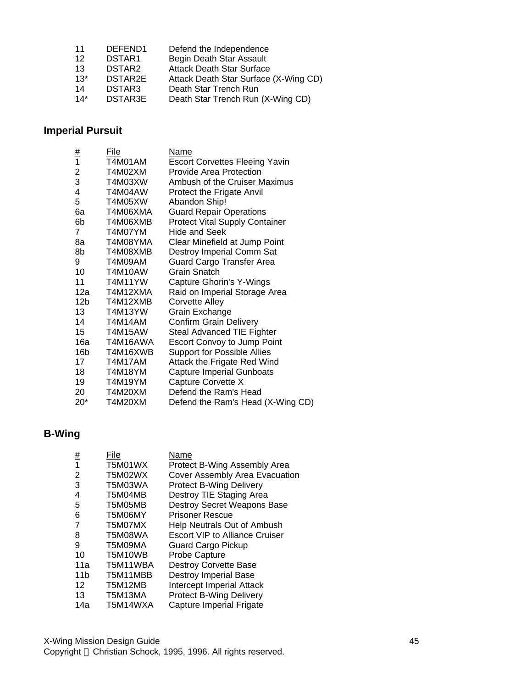| 11    | DEFEND1            | Defend the Independence               |
|-------|--------------------|---------------------------------------|
| 12    | DSTAR <sub>1</sub> | Begin Death Star Assault              |
| 13    | DSTAR <sub>2</sub> | <b>Attack Death Star Surface</b>      |
| $13*$ | DSTAR2E            | Attack Death Star Surface (X-Wing CD) |
| 14    | DSTAR3             | Death Star Trench Run                 |
| $14*$ | <b>DSTAR3E</b>     | Death Star Trench Run (X-Wing CD)     |

# **Imperial Pursuit**

|                | File           | <b>Name</b>                           |
|----------------|----------------|---------------------------------------|
| $\frac{\#}{1}$ | <b>T4M01AM</b> | <b>Escort Corvettes Fleeing Yavin</b> |
| 2              | T4M02XM        | <b>Provide Area Protection</b>        |
| 3              | T4M03XW        | Ambush of the Cruiser Maximus         |
| 4              | T4M04AW        | <b>Protect the Frigate Anvil</b>      |
| 5              | T4M05XW        | Abandon Ship!                         |
| 6a             | T4M06XMA       | <b>Guard Repair Operations</b>        |
| 6b             | T4M06XMB       | <b>Protect Vital Supply Container</b> |
| $\overline{7}$ | T4M07YM        | Hide and Seek                         |
| 8a             | T4M08YMA       | Clear Minefield at Jump Point         |
| 8b             | T4M08XMB       | Destroy Imperial Comm Sat             |
| 9              | T4M09AM        | Guard Cargo Transfer Area             |
| 10             | T4M10AW        | Grain Snatch                          |
| 11             | T4M11YW        | Capture Ghorin's Y-Wings              |
| 12a -          | T4M12XMA       | Raid on Imperial Storage Area         |
| 12b l          | T4M12XMB       | Corvette Alley                        |
| 13             | T4M13YW        | Grain Exchange                        |
| 14             | T4M14AM        | <b>Confirm Grain Delivery</b>         |
| 15             | T4M15AW        | Steal Advanced TIE Fighter            |
| 16a -          | T4M16AWA       | <b>Escort Convoy to Jump Point</b>    |
| 16b            | T4M16XWB       | <b>Support for Possible Allies</b>    |
| 17             | T4M17AM        | Attack the Frigate Red Wind           |
| 18             | T4M18YM        | <b>Capture Imperial Gunboats</b>      |
| 19             | T4M19YM        | Capture Corvette X                    |
| 20             | <b>T4M20XM</b> | Defend the Ram's Head                 |
| $20*$          | T4M20XM        | Defend the Ram's Head (X-Wing CD)     |

# **B-Wing**

| #               | File     | Name                                  |
|-----------------|----------|---------------------------------------|
| 1               | T5M01WX  | Protect B-Wing Assembly Area          |
| 2               | T5M02WX  | Cover Assembly Area Evacuation        |
| 3               | T5M03WA  | <b>Protect B-Wing Delivery</b>        |
| 4               | T5M04MB  | Destroy TIE Staging Area              |
| 5               | T5M05MB  | <b>Destroy Secret Weapons Base</b>    |
| 6               | T5M06MY  | <b>Prisoner Rescue</b>                |
| 7               | T5M07MX  | Help Neutrals Out of Ambush           |
| 8               | T5M08WA  | <b>Escort VIP to Alliance Cruiser</b> |
| 9               | T5M09MA  | Guard Cargo Pickup                    |
| 10              | T5M10WB  | Probe Capture                         |
| 11a             | T5M11WBA | <b>Destroy Corvette Base</b>          |
| 11 <sub>b</sub> | T5M11MBB | <b>Destroy Imperial Base</b>          |
| 12              | T5M12MB  | <b>Intercept Imperial Attack</b>      |
| 13              | T5M13MA  | <b>Protect B-Wing Delivery</b>        |
| 14a             | T5M14WXA | Capture Imperial Frigate              |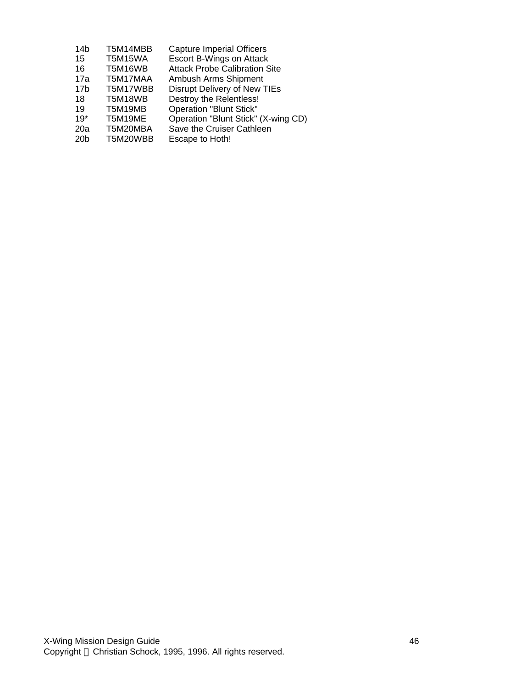| 14 <sub>b</sub> | T5M14MBB       | <b>Capture Imperial Officers</b>     |
|-----------------|----------------|--------------------------------------|
| 15              | <b>T5M15WA</b> | Escort B-Wings on Attack             |
| 16              | T5M16WB        | <b>Attack Probe Calibration Site</b> |
| 17a             | T5M17MAA       | Ambush Arms Shipment                 |
| 17 <sub>b</sub> | T5M17WBB       | Disrupt Delivery of New TIEs         |
| 18              | T5M18WB        | Destroy the Relentless!              |
| 19              | T5M19MB        | <b>Operation "Blunt Stick"</b>       |
| $19*$           | T5M19ME        | Operation "Blunt Stick" (X-wing CD)  |
| 20a             | T5M20MBA       | Save the Cruiser Cathleen            |
| 20 <sub>b</sub> | T5M20WBB       | Escape to Hoth!                      |
|                 |                |                                      |